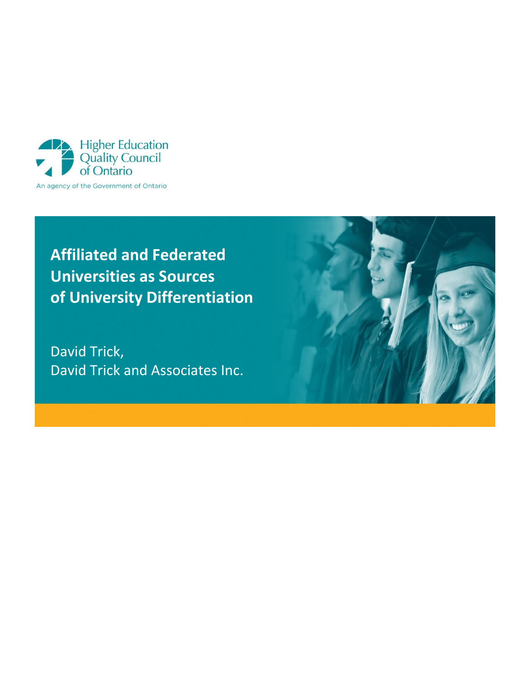

# **Affiliated and Federated Universities as Sources of University Differentiation**

David Trick, David Trick and Associates Inc.

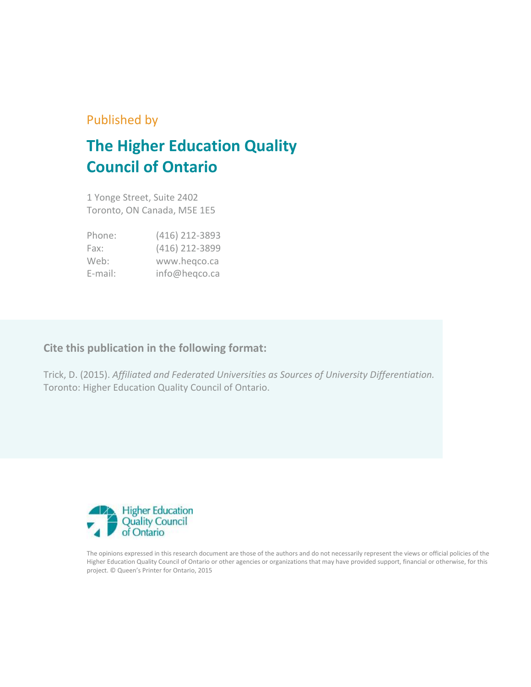## Published by

# **The Higher Education Quality Council of Ontario**

1 Yonge Street, Suite 2402 Toronto, ON Canada, M5E 1E5

| Phone:  | (416) 212-3893 |
|---------|----------------|
| Fax:    | (416) 212-3899 |
| Web:    | www.hegco.ca   |
| E-mail: | info@heqco.ca  |

### **Cite this publication in the following format:**

Trick, D. (2015). *Affiliated and Federated Universities as Sources of University Differentiation.*  Toronto: Higher Education Quality Council of Ontario.



The opinions expressed in this research document are those of the authors and do not necessarily represent the views or official policies of the Higher Education Quality Council of Ontario or other agencies or organizations that may have provided support, financial or otherwise, for this project. © Queen's Printer for Ontario, 2015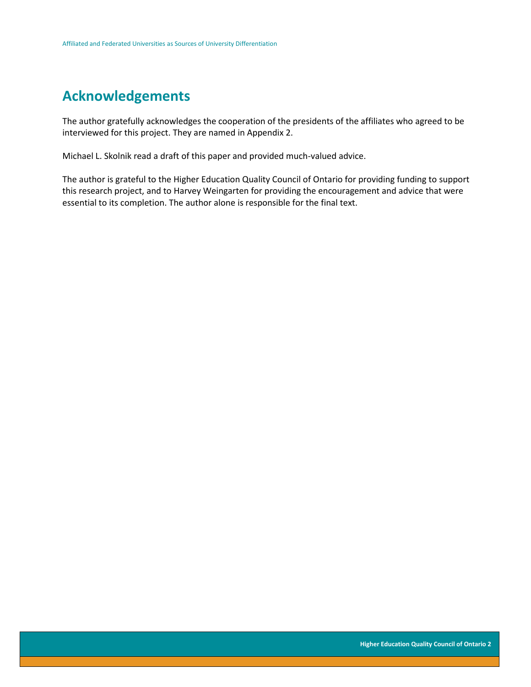## **Acknowledgements**

The author gratefully acknowledges the cooperation of the presidents of the affiliates who agreed to be interviewed for this project. They are named in Appendix 2.

Michael L. Skolnik read a draft of this paper and provided much-valued advice.

The author is grateful to the Higher Education Quality Council of Ontario for providing funding to support this research project, and to Harvey Weingarten for providing the encouragement and advice that were essential to its completion. The author alone is responsible for the final text.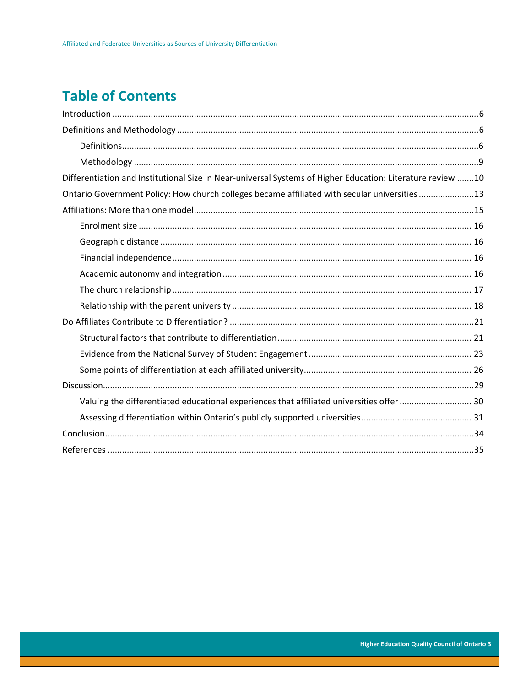# **Table of Contents**

| Differentiation and Institutional Size in Near-universal Systems of Higher Education: Literature review 10 |
|------------------------------------------------------------------------------------------------------------|
| Ontario Government Policy: How church colleges became affiliated with secular universities 13              |
|                                                                                                            |
|                                                                                                            |
|                                                                                                            |
|                                                                                                            |
|                                                                                                            |
|                                                                                                            |
|                                                                                                            |
|                                                                                                            |
|                                                                                                            |
|                                                                                                            |
|                                                                                                            |
|                                                                                                            |
| Valuing the differentiated educational experiences that affiliated universities offer  30                  |
|                                                                                                            |
|                                                                                                            |
|                                                                                                            |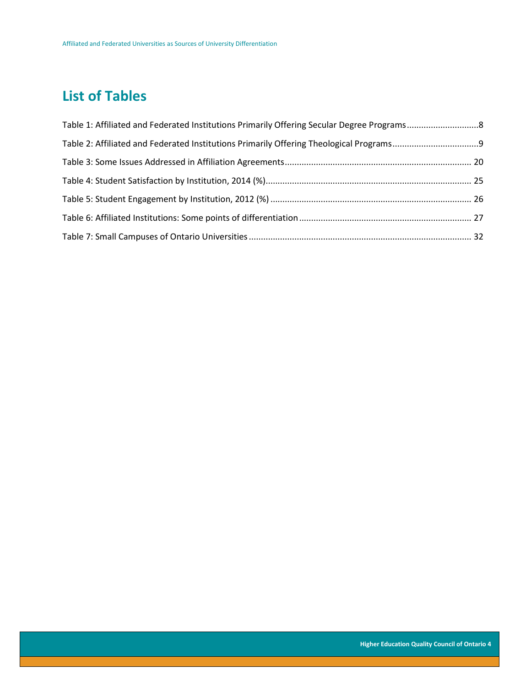# **List of Tables**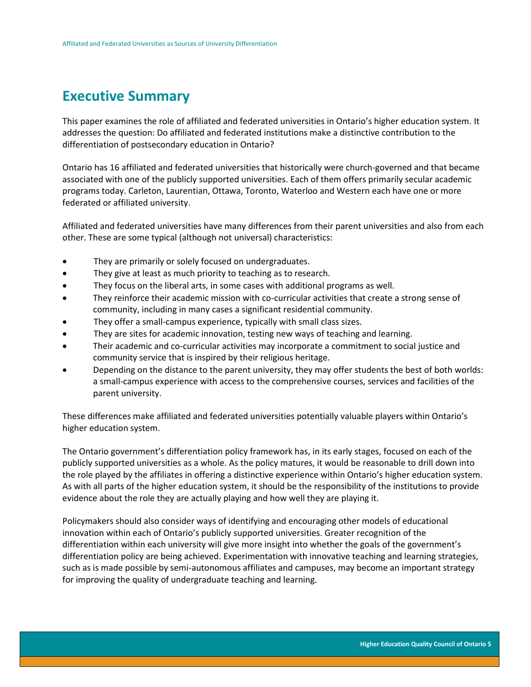## **Executive Summary**

This paper examines the role of affiliated and federated universities in Ontario's higher education system. It addresses the question: Do affiliated and federated institutions make a distinctive contribution to the differentiation of postsecondary education in Ontario?

Ontario has 16 affiliated and federated universities that historically were church-governed and that became associated with one of the publicly supported universities. Each of them offers primarily secular academic programs today. Carleton, Laurentian, Ottawa, Toronto, Waterloo and Western each have one or more federated or affiliated university.

Affiliated and federated universities have many differences from their parent universities and also from each other. These are some typical (although not universal) characteristics:

- They are primarily or solely focused on undergraduates.
- They give at least as much priority to teaching as to research.
- They focus on the liberal arts, in some cases with additional programs as well.
- They reinforce their academic mission with co-curricular activities that create a strong sense of community, including in many cases a significant residential community.
- They offer a small-campus experience, typically with small class sizes.
- They are sites for academic innovation, testing new ways of teaching and learning.
- Their academic and co-curricular activities may incorporate a commitment to social justice and community service that is inspired by their religious heritage.
- Depending on the distance to the parent university, they may offer students the best of both worlds: a small-campus experience with access to the comprehensive courses, services and facilities of the parent university.

These differences make affiliated and federated universities potentially valuable players within Ontario's higher education system.

The Ontario government's differentiation policy framework has, in its early stages, focused on each of the publicly supported universities as a whole. As the policy matures, it would be reasonable to drill down into the role played by the affiliates in offering a distinctive experience within Ontario's higher education system. As with all parts of the higher education system, it should be the responsibility of the institutions to provide evidence about the role they are actually playing and how well they are playing it.

Policymakers should also consider ways of identifying and encouraging other models of educational innovation within each of Ontario's publicly supported universities. Greater recognition of the differentiation within each university will give more insight into whether the goals of the government's differentiation policy are being achieved. Experimentation with innovative teaching and learning strategies, such as is made possible by semi-autonomous affiliates and campuses, may become an important strategy for improving the quality of undergraduate teaching and learning.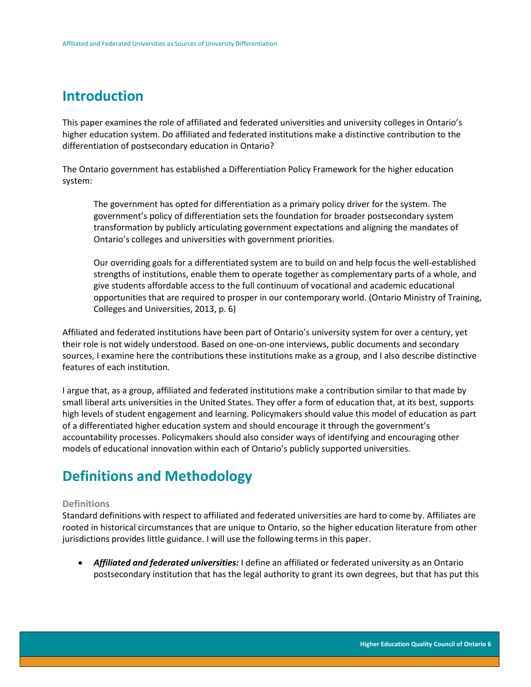## <span id="page-6-0"></span>**Introduction**

This paper examines the role of affiliated and federated universities and university colleges in Ontario's higher education system. Do affiliated and federated institutions make a distinctive contribution to the differentiation of postsecondary education in Ontario?

The Ontario government has established a Differentiation Policy Framework for the higher education system:

The government has opted for differentiation as a primary policy driver for the system. The government's policy of differentiation sets the foundation for broader postsecondary system transformation by publicly articulating government expectations and aligning the mandates of Ontario's colleges and universities with government priorities.

Our overriding goals for a differentiated system are to build on and help focus the well-established strengths of institutions, enable them to operate together as complementary parts of a whole, and give students affordable access to the full continuum of vocational and academic educational opportunities that are required to prosper in our contemporary world. (Ontario Ministry of Training, Colleges and Universities, 2013, p. 6)

Affiliated and federated institutions have been part of Ontario's university system for over a century, yet their role is not widely understood. Based on one-on-one interviews, public documents and secondary sources, I examine here the contributions these institutions make as a group, and I also describe distinctive features of each institution.

I argue that, as a group, affiliated and federated institutions make a contribution similar to that made by small liberal arts universities in the United States. They offer a form of education that, at its best, supports high levels of student engagement and learning. Policymakers should value this model of education as part of a differentiated higher education system and should encourage it through the government's accountability processes. Policymakers should also consider ways of identifying and encouraging other models of educational innovation within each of Ontario's publicly supported universities.

# <span id="page-6-1"></span>**Definitions and Methodology**

### <span id="page-6-2"></span>**Definitions**

Standard definitions with respect to affiliated and federated universities are hard to come by. Affiliates are rooted in historical circumstances that are unique to Ontario, so the higher education literature from other jurisdictions provides little guidance. I will use the following terms in this paper.

 *Affiliated and federated universities:* I define an affiliated or federated university as an Ontario postsecondary institution that has the legal authority to grant its own degrees, but that has put this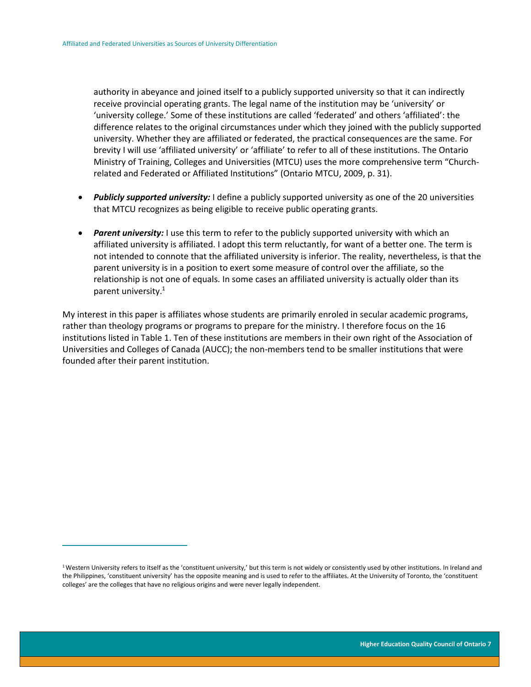$\overline{a}$ 

authority in abeyance and joined itself to a publicly supported university so that it can indirectly receive provincial operating grants. The legal name of the institution may be 'university' or 'university college.' Some of these institutions are called 'federated' and others 'affiliated': the difference relates to the original circumstances under which they joined with the publicly supported university. Whether they are affiliated or federated, the practical consequences are the same. For brevity I will use 'affiliated university' or 'affiliate' to refer to all of these institutions. The Ontario Ministry of Training, Colleges and Universities (MTCU) uses the more comprehensive term "Churchrelated and Federated or Affiliated Institutions" (Ontario MTCU, 2009, p. 31).

- *Publicly supported university:* I define a publicly supported university as one of the 20 universities that MTCU recognizes as being eligible to receive public operating grants.
- *Parent university:* I use this term to refer to the publicly supported university with which an affiliated university is affiliated. I adopt this term reluctantly, for want of a better one. The term is not intended to connote that the affiliated university is inferior. The reality, nevertheless, is that the parent university is in a position to exert some measure of control over the affiliate, so the relationship is not one of equals. In some cases an affiliated university is actually older than its parent university.<sup>1</sup>

My interest in this paper is affiliates whose students are primarily enroled in secular academic programs, rather than theology programs or programs to prepare for the ministry. I therefore focus on the 16 institutions listed in Table 1. Ten of these institutions are members in their own right of the Association of Universities and Colleges of Canada (AUCC); the non-members tend to be smaller institutions that were founded after their parent institution.

<sup>&</sup>lt;sup>1</sup>Western University refers to itself as the 'constituent university,' but this term is not widely or consistently used by other institutions. In Ireland and the Philippines, 'constituent university' has the opposite meaning and is used to refer to the affiliates. At the University of Toronto, the 'constituent colleges' are the colleges that have no religious origins and were never legally independent.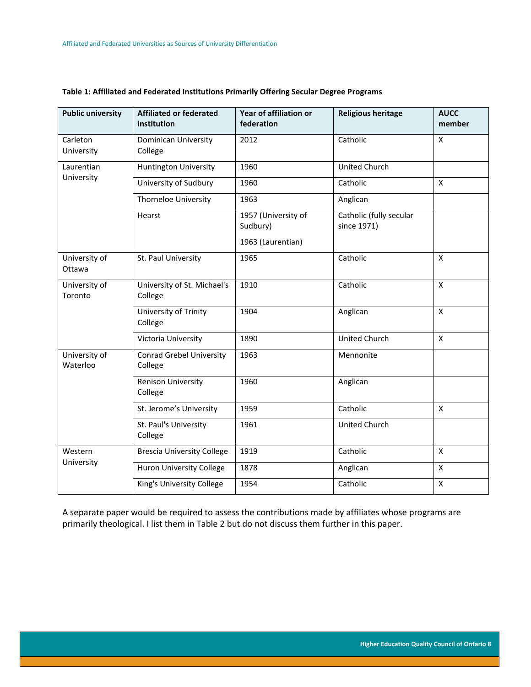| <b>Public university</b>  | <b>Affiliated or federated</b><br>institution | Year of affiliation or<br>federation                 | <b>Religious heritage</b>              | <b>AUCC</b><br>member |
|---------------------------|-----------------------------------------------|------------------------------------------------------|----------------------------------------|-----------------------|
| Carleton<br>University    | <b>Dominican University</b><br>College        | 2012                                                 | Catholic                               | X                     |
| Laurentian                | <b>Huntington University</b>                  | 1960                                                 | United Church                          |                       |
| University                | University of Sudbury                         | 1960                                                 | Catholic                               | X                     |
|                           | <b>Thorneloe University</b>                   | 1963                                                 | Anglican                               |                       |
|                           | Hearst                                        | 1957 (University of<br>Sudbury)<br>1963 (Laurentian) | Catholic (fully secular<br>since 1971) |                       |
| University of<br>Ottawa   | St. Paul University                           | 1965                                                 | Catholic                               | $\pmb{\times}$        |
| University of<br>Toronto  | University of St. Michael's<br>College        | 1910                                                 | Catholic                               | $\mathsf{x}$          |
|                           | University of Trinity<br>College              | 1904                                                 | Anglican                               | $\pmb{\times}$        |
|                           | Victoria University                           | 1890                                                 | United Church                          | $\mathsf{x}$          |
| University of<br>Waterloo | <b>Conrad Grebel University</b><br>College    | 1963                                                 | Mennonite                              |                       |
|                           | <b>Renison University</b><br>College          | 1960                                                 | Anglican                               |                       |
|                           | St. Jerome's University                       | 1959                                                 | Catholic                               | X                     |
|                           | St. Paul's University<br>College              | 1961                                                 | <b>United Church</b>                   |                       |
| Western                   | <b>Brescia University College</b>             | 1919                                                 | Catholic                               | $\mathsf{x}$          |
| University                | Huron University College                      | 1878                                                 | Anglican                               | $\mathsf{x}$          |
|                           | King's University College                     | 1954                                                 | Catholic                               | $\pmb{\mathsf{X}}$    |

### <span id="page-8-0"></span>**Table 1: Affiliated and Federated Institutions Primarily Offering Secular Degree Programs**

A separate paper would be required to assess the contributions made by affiliates whose programs are primarily theological. I list them in Table 2 but do not discuss them further in this paper.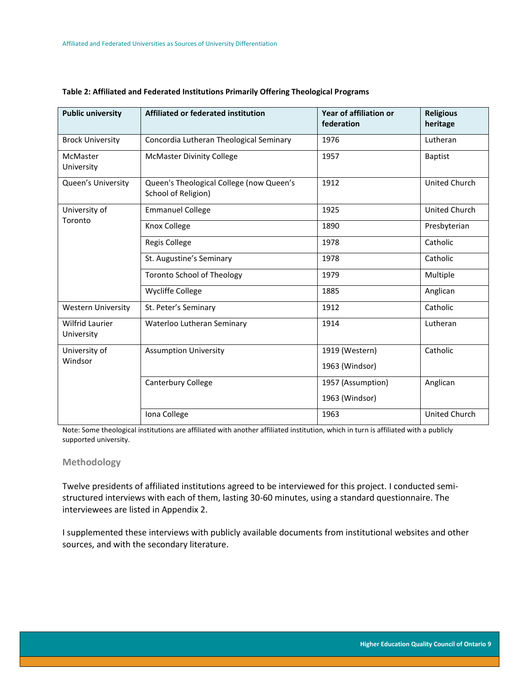| <b>Public university</b>      | Affiliated or federated institution                             | Year of affiliation or<br>federation | <b>Religious</b><br>heritage |
|-------------------------------|-----------------------------------------------------------------|--------------------------------------|------------------------------|
| <b>Brock University</b>       | Concordia Lutheran Theological Seminary                         | 1976                                 | Lutheran                     |
| McMaster<br>University        | <b>McMaster Divinity College</b>                                | 1957                                 | <b>Baptist</b>               |
| Queen's University            | Queen's Theological College (now Queen's<br>School of Religion) | 1912                                 | United Church                |
| University of                 | <b>Emmanuel College</b>                                         | 1925                                 | United Church                |
| Toronto                       | Knox College                                                    | 1890                                 | Presbyterian                 |
|                               | <b>Regis College</b>                                            | 1978                                 | Catholic                     |
|                               | St. Augustine's Seminary                                        | 1978                                 | Catholic                     |
|                               | <b>Toronto School of Theology</b>                               | 1979                                 | Multiple                     |
|                               | <b>Wycliffe College</b>                                         | 1885                                 | Anglican                     |
| <b>Western University</b>     | St. Peter's Seminary                                            | 1912                                 | Catholic                     |
| Wilfrid Laurier<br>University | Waterloo Lutheran Seminary                                      | 1914                                 | Lutheran                     |
| University of                 | <b>Assumption University</b>                                    | 1919 (Western)                       | Catholic                     |
| Windsor                       |                                                                 | 1963 (Windsor)                       |                              |
|                               | <b>Canterbury College</b>                                       | 1957 (Assumption)                    | Anglican                     |
|                               |                                                                 | 1963 (Windsor)                       |                              |
|                               | Iona College                                                    | 1963                                 | United Church                |

#### <span id="page-9-1"></span>**Table 2: Affiliated and Federated Institutions Primarily Offering Theological Programs**

Note: Some theological institutions are affiliated with another affiliated institution, which in turn is affiliated with a publicly supported university.

### <span id="page-9-0"></span>**Methodology**

Twelve presidents of affiliated institutions agreed to be interviewed for this project. I conducted semistructured interviews with each of them, lasting 30-60 minutes, using a standard questionnaire. The interviewees are listed in Appendix 2.

I supplemented these interviews with publicly available documents from institutional websites and other sources, and with the secondary literature.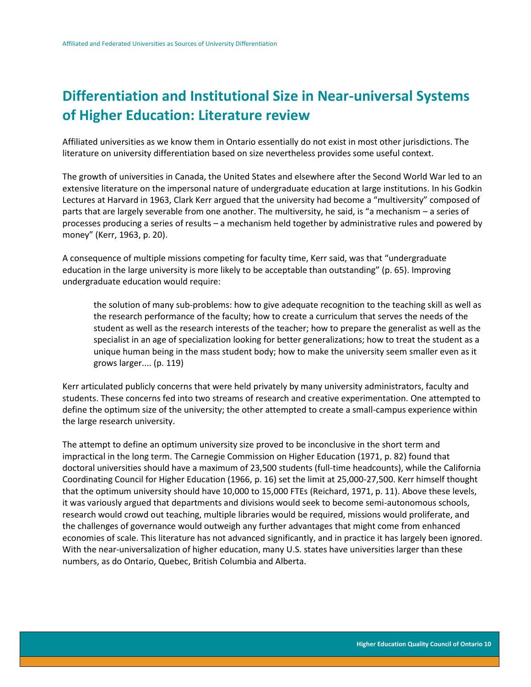# <span id="page-10-0"></span>**Differentiation and Institutional Size in Near-universal Systems of Higher Education: Literature review**

Affiliated universities as we know them in Ontario essentially do not exist in most other jurisdictions. The literature on university differentiation based on size nevertheless provides some useful context.

The growth of universities in Canada, the United States and elsewhere after the Second World War led to an extensive literature on the impersonal nature of undergraduate education at large institutions. In his Godkin Lectures at Harvard in 1963, Clark Kerr argued that the university had become a "multiversity" composed of parts that are largely severable from one another. The multiversity, he said, is "a mechanism – a series of processes producing a series of results – a mechanism held together by administrative rules and powered by money" (Kerr, 1963, p. 20).

A consequence of multiple missions competing for faculty time, Kerr said, was that "undergraduate education in the large university is more likely to be acceptable than outstanding" (p. 65). Improving undergraduate education would require:

the solution of many sub-problems: how to give adequate recognition to the teaching skill as well as the research performance of the faculty; how to create a curriculum that serves the needs of the student as well as the research interests of the teacher; how to prepare the generalist as well as the specialist in an age of specialization looking for better generalizations; how to treat the student as a unique human being in the mass student body; how to make the university seem smaller even as it grows larger.... (p. 119)

Kerr articulated publicly concerns that were held privately by many university administrators, faculty and students. These concerns fed into two streams of research and creative experimentation. One attempted to define the optimum size of the university; the other attempted to create a small-campus experience within the large research university.

The attempt to define an optimum university size proved to be inconclusive in the short term and impractical in the long term. The Carnegie Commission on Higher Education (1971, p. 82) found that doctoral universities should have a maximum of 23,500 students (full-time headcounts), while the California Coordinating Council for Higher Education (1966, p. 16) set the limit at 25,000-27,500. Kerr himself thought that the optimum university should have 10,000 to 15,000 FTEs (Reichard, 1971, p. 11). Above these levels, it was variously argued that departments and divisions would seek to become semi-autonomous schools, research would crowd out teaching, multiple libraries would be required, missions would proliferate, and the challenges of governance would outweigh any further advantages that might come from enhanced economies of scale. This literature has not advanced significantly, and in practice it has largely been ignored. With the near-universalization of higher education, many U.S. states have universities larger than these numbers, as do Ontario, Quebec, British Columbia and Alberta.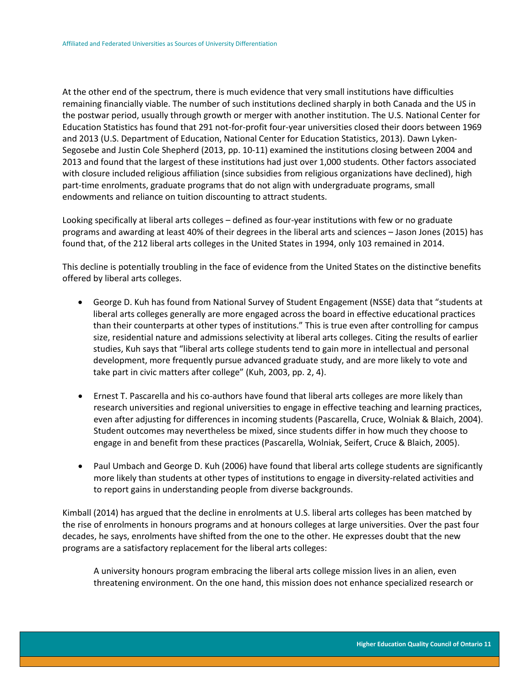At the other end of the spectrum, there is much evidence that very small institutions have difficulties remaining financially viable. The number of such institutions declined sharply in both Canada and the US in the postwar period, usually through growth or merger with another institution. The U.S. National Center for Education Statistics has found that 291 not-for-profit four-year universities closed their doors between 1969 and 2013 (U.S. Department of Education, National Center for Education Statistics, 2013). Dawn Lyken-Segosebe and Justin Cole Shepherd (2013, pp. 10-11) examined the institutions closing between 2004 and 2013 and found that the largest of these institutions had just over 1,000 students. Other factors associated with closure included religious affiliation (since subsidies from religious organizations have declined), high part-time enrolments, graduate programs that do not align with undergraduate programs, small endowments and reliance on tuition discounting to attract students.

Looking specifically at liberal arts colleges – defined as four-year institutions with few or no graduate programs and awarding at least 40% of their degrees in the liberal arts and sciences – Jason Jones (2015) has found that, of the 212 liberal arts colleges in the United States in 1994, only 103 remained in 2014.

This decline is potentially troubling in the face of evidence from the United States on the distinctive benefits offered by liberal arts colleges.

- George D. Kuh has found from National Survey of Student Engagement (NSSE) data that "students at liberal arts colleges generally are more engaged across the board in effective educational practices than their counterparts at other types of institutions." This is true even after controlling for campus size, residential nature and admissions selectivity at liberal arts colleges. Citing the results of earlier studies, Kuh says that "liberal arts college students tend to gain more in intellectual and personal development, more frequently pursue advanced graduate study, and are more likely to vote and take part in civic matters after college" (Kuh, 2003, pp. 2, 4).
- Ernest T. Pascarella and his co-authors have found that liberal arts colleges are more likely than research universities and regional universities to engage in effective teaching and learning practices, even after adjusting for differences in incoming students (Pascarella, Cruce, Wolniak & Blaich, 2004). Student outcomes may nevertheless be mixed, since students differ in how much they choose to engage in and benefit from these practices (Pascarella, Wolniak, Seifert, Cruce & Blaich, 2005).
- Paul Umbach and George D. Kuh (2006) have found that liberal arts college students are significantly more likely than students at other types of institutions to engage in diversity-related activities and to report gains in understanding people from diverse backgrounds.

Kimball (2014) has argued that the decline in enrolments at U.S. liberal arts colleges has been matched by the rise of enrolments in honours programs and at honours colleges at large universities. Over the past four decades, he says, enrolments have shifted from the one to the other. He expresses doubt that the new programs are a satisfactory replacement for the liberal arts colleges:

A university honours program embracing the liberal arts college mission lives in an alien, even threatening environment. On the one hand, this mission does not enhance specialized research or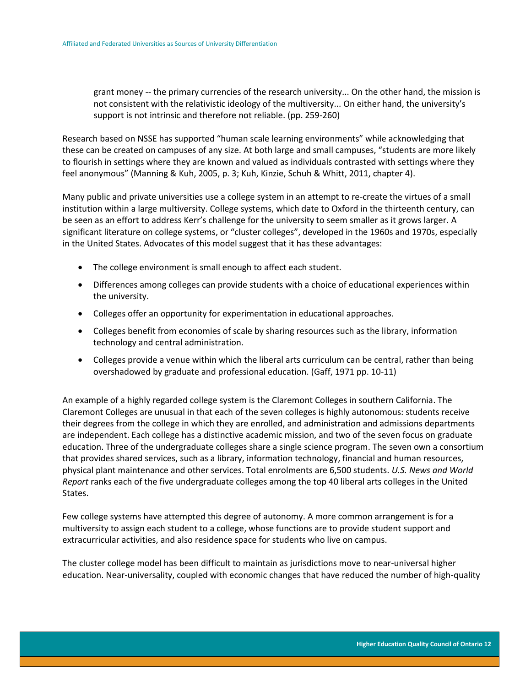grant money -- the primary currencies of the research university... On the other hand, the mission is not consistent with the relativistic ideology of the multiversity... On either hand, the university's support is not intrinsic and therefore not reliable. (pp. 259-260)

Research based on NSSE has supported "human scale learning environments" while acknowledging that these can be created on campuses of any size. At both large and small campuses, "students are more likely to flourish in settings where they are known and valued as individuals contrasted with settings where they feel anonymous" (Manning & Kuh, 2005, p. 3; Kuh, Kinzie, Schuh & Whitt, 2011, chapter 4).

Many public and private universities use a college system in an attempt to re-create the virtues of a small institution within a large multiversity. College systems, which date to Oxford in the thirteenth century, can be seen as an effort to address Kerr's challenge for the university to seem smaller as it grows larger. A significant literature on college systems, or "cluster colleges", developed in the 1960s and 1970s, especially in the United States. Advocates of this model suggest that it has these advantages:

- The college environment is small enough to affect each student.
- Differences among colleges can provide students with a choice of educational experiences within the university.
- Colleges offer an opportunity for experimentation in educational approaches.
- Colleges benefit from economies of scale by sharing resources such as the library, information technology and central administration.
- Colleges provide a venue within which the liberal arts curriculum can be central, rather than being overshadowed by graduate and professional education. (Gaff, 1971 pp. 10-11)

An example of a highly regarded college system is the Claremont Colleges in southern California. The Claremont Colleges are unusual in that each of the seven colleges is highly autonomous: students receive their degrees from the college in which they are enrolled, and administration and admissions departments are independent. Each college has a distinctive academic mission, and two of the seven focus on graduate education. Three of the undergraduate colleges share a single science program. The seven own a consortium that provides shared services, such as a library, information technology, financial and human resources, physical plant maintenance and other services. Total enrolments are 6,500 students. *U.S. News and World Report* ranks each of the five undergraduate colleges among the top 40 liberal arts colleges in the United States.

Few college systems have attempted this degree of autonomy. A more common arrangement is for a multiversity to assign each student to a college, whose functions are to provide student support and extracurricular activities, and also residence space for students who live on campus.

The cluster college model has been difficult to maintain as jurisdictions move to near-universal higher education. Near-universality, coupled with economic changes that have reduced the number of high-quality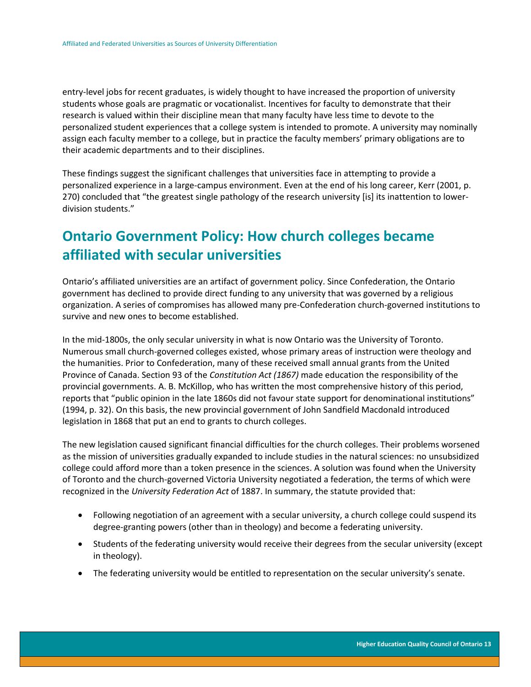entry-level jobs for recent graduates, is widely thought to have increased the proportion of university students whose goals are pragmatic or vocationalist. Incentives for faculty to demonstrate that their research is valued within their discipline mean that many faculty have less time to devote to the personalized student experiences that a college system is intended to promote. A university may nominally assign each faculty member to a college, but in practice the faculty members' primary obligations are to their academic departments and to their disciplines.

These findings suggest the significant challenges that universities face in attempting to provide a personalized experience in a large-campus environment. Even at the end of his long career, Kerr (2001, p. 270) concluded that "the greatest single pathology of the research university [is] its inattention to lowerdivision students."

# <span id="page-13-0"></span>**Ontario Government Policy: How church colleges became affiliated with secular universities**

Ontario's affiliated universities are an artifact of government policy. Since Confederation, the Ontario government has declined to provide direct funding to any university that was governed by a religious organization. A series of compromises has allowed many pre-Confederation church-governed institutions to survive and new ones to become established.

In the mid-1800s, the only secular university in what is now Ontario was the University of Toronto. Numerous small church-governed colleges existed, whose primary areas of instruction were theology and the humanities. Prior to Confederation, many of these received small annual grants from the United Province of Canada. Section 93 of the *Constitution Act (1867)* made education the responsibility of the provincial governments. A. B. McKillop, who has written the most comprehensive history of this period, reports that "public opinion in the late 1860s did not favour state support for denominational institutions" (1994, p. 32). On this basis, the new provincial government of John Sandfield Macdonald introduced legislation in 1868 that put an end to grants to church colleges.

The new legislation caused significant financial difficulties for the church colleges. Their problems worsened as the mission of universities gradually expanded to include studies in the natural sciences: no unsubsidized college could afford more than a token presence in the sciences. A solution was found when the University of Toronto and the church-governed Victoria University negotiated a federation, the terms of which were recognized in the *University Federation Act* of 1887. In summary, the statute provided that:

- Following negotiation of an agreement with a secular university, a church college could suspend its degree-granting powers (other than in theology) and become a federating university.
- Students of the federating university would receive their degrees from the secular university (except in theology).
- The federating university would be entitled to representation on the secular university's senate.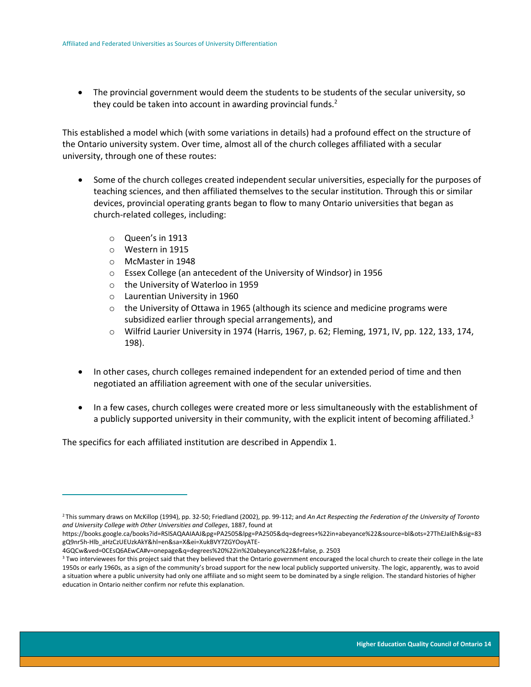• The provincial government would deem the students to be students of the secular university, so they could be taken into account in awarding provincial funds.<sup>2</sup>

This established a model which (with some variations in details) had a profound effect on the structure of the Ontario university system. Over time, almost all of the church colleges affiliated with a secular university, through one of these routes:

- Some of the church colleges created independent secular universities, especially for the purposes of teaching sciences, and then affiliated themselves to the secular institution. Through this or similar devices, provincial operating grants began to flow to many Ontario universities that began as church-related colleges, including:
	- o Queen's in 1913
	- o Western in 1915

 $\overline{a}$ 

- o McMaster in 1948
- o Essex College (an antecedent of the University of Windsor) in 1956
- o the University of Waterloo in 1959
- o Laurentian University in 1960
- $\circ$  the University of Ottawa in 1965 (although its science and medicine programs were subsidized earlier through special arrangements), and
- o Wilfrid Laurier University in 1974 (Harris, 1967, p. 62; Fleming, 1971, IV, pp. 122, 133, 174, 198).
- In other cases, church colleges remained independent for an extended period of time and then negotiated an affiliation agreement with one of the secular universities.
- In a few cases, church colleges were created more or less simultaneously with the establishment of a publicly supported university in their community, with the explicit intent of becoming affiliated.<sup>3</sup>

The specifics for each affiliated institution are described in Appendix 1.

<sup>2</sup> This summary draws on McKillop (1994), pp. 32-50; Friedland (2002), pp. 99-112; and *An Act Respecting the Federation of the University of Toronto and University College with Other Universities and Colleges*, 1887, found at

https://books.google.ca/books?id=RSlSAQAAIAAJ&pg=PA2505&lpg=PA2505&dq=degrees+%22in+abeyance%22&source=bl&ots=27ThEJaIEh&sig=83 gQ9nr5h-Hlb\_aHzCzUEUzkAkY&hl=en&sa=X&ei=XukBVY7ZGYOoyATE-

<sup>4</sup>GQCw&ved=0CEsQ6AEwCA#v=onepage&q=degrees%20%22in%20abeyance%22&f=false, p. 2503

<sup>&</sup>lt;sup>3</sup> Two interviewees for this project said that they believed that the Ontario government encouraged the local church to create their college in the late 1950s or early 1960s, as a sign of the community's broad support for the new local publicly supported university. The logic, apparently, was to avoid a situation where a public university had only one affiliate and so might seem to be dominated by a single religion. The standard histories of higher education in Ontario neither confirm nor refute this explanation.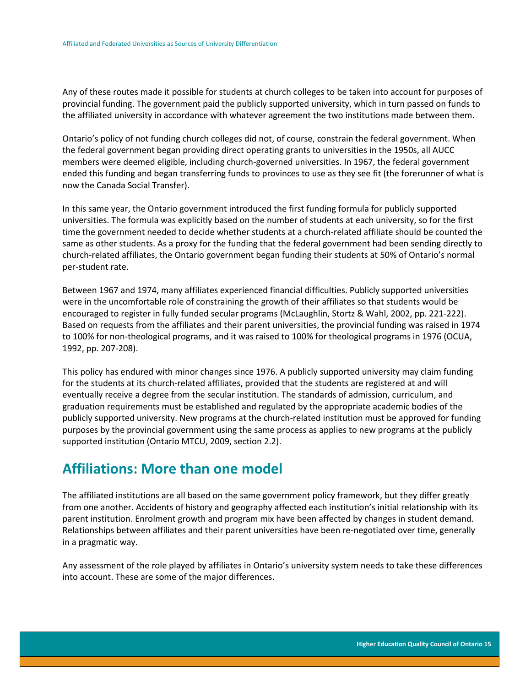Any of these routes made it possible for students at church colleges to be taken into account for purposes of provincial funding. The government paid the publicly supported university, which in turn passed on funds to the affiliated university in accordance with whatever agreement the two institutions made between them.

Ontario's policy of not funding church colleges did not, of course, constrain the federal government. When the federal government began providing direct operating grants to universities in the 1950s, all AUCC members were deemed eligible, including church-governed universities. In 1967, the federal government ended this funding and began transferring funds to provinces to use as they see fit (the forerunner of what is now the Canada Social Transfer).

In this same year, the Ontario government introduced the first funding formula for publicly supported universities. The formula was explicitly based on the number of students at each university, so for the first time the government needed to decide whether students at a church-related affiliate should be counted the same as other students. As a proxy for the funding that the federal government had been sending directly to church-related affiliates, the Ontario government began funding their students at 50% of Ontario's normal per-student rate.

Between 1967 and 1974, many affiliates experienced financial difficulties. Publicly supported universities were in the uncomfortable role of constraining the growth of their affiliates so that students would be encouraged to register in fully funded secular programs (McLaughlin, Stortz & Wahl, 2002, pp. 221-222). Based on requests from the affiliates and their parent universities, the provincial funding was raised in 1974 to 100% for non-theological programs, and it was raised to 100% for theological programs in 1976 (OCUA, 1992, pp. 207-208).

This policy has endured with minor changes since 1976. A publicly supported university may claim funding for the students at its church-related affiliates, provided that the students are registered at and will eventually receive a degree from the secular institution. The standards of admission, curriculum, and graduation requirements must be established and regulated by the appropriate academic bodies of the publicly supported university. New programs at the church-related institution must be approved for funding purposes by the provincial government using the same process as applies to new programs at the publicly supported institution (Ontario MTCU, 2009, section 2.2).

## <span id="page-15-0"></span>**Affiliations: More than one model**

The affiliated institutions are all based on the same government policy framework, but they differ greatly from one another. Accidents of history and geography affected each institution's initial relationship with its parent institution. Enrolment growth and program mix have been affected by changes in student demand. Relationships between affiliates and their parent universities have been re-negotiated over time, generally in a pragmatic way.

Any assessment of the role played by affiliates in Ontario's university system needs to take these differences into account. These are some of the major differences.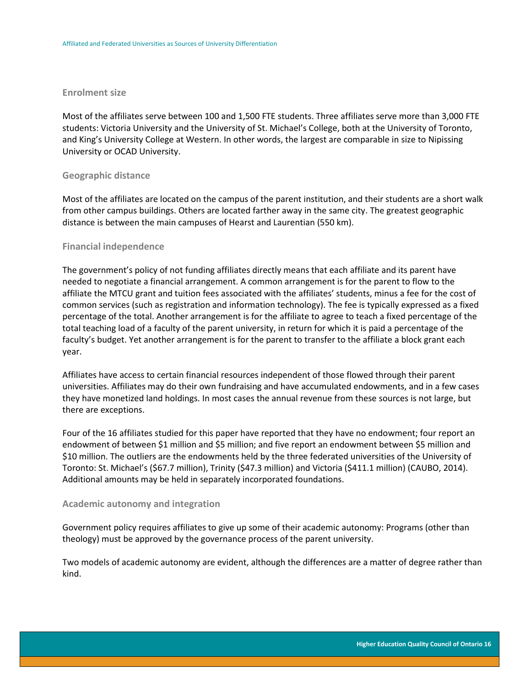#### <span id="page-16-0"></span>**Enrolment size**

Most of the affiliates serve between 100 and 1,500 FTE students. Three affiliates serve more than 3,000 FTE students: Victoria University and the University of St. Michael's College, both at the University of Toronto, and King's University College at Western. In other words, the largest are comparable in size to Nipissing University or OCAD University.

#### <span id="page-16-1"></span>**Geographic distance**

Most of the affiliates are located on the campus of the parent institution, and their students are a short walk from other campus buildings. Others are located farther away in the same city. The greatest geographic distance is between the main campuses of Hearst and Laurentian (550 km).

#### <span id="page-16-2"></span>**Financial independence**

The government's policy of not funding affiliates directly means that each affiliate and its parent have needed to negotiate a financial arrangement. A common arrangement is for the parent to flow to the affiliate the MTCU grant and tuition fees associated with the affiliates' students, minus a fee for the cost of common services (such as registration and information technology). The fee is typically expressed as a fixed percentage of the total. Another arrangement is for the affiliate to agree to teach a fixed percentage of the total teaching load of a faculty of the parent university, in return for which it is paid a percentage of the faculty's budget. Yet another arrangement is for the parent to transfer to the affiliate a block grant each year.

Affiliates have access to certain financial resources independent of those flowed through their parent universities. Affiliates may do their own fundraising and have accumulated endowments, and in a few cases they have monetized land holdings. In most cases the annual revenue from these sources is not large, but there are exceptions.

Four of the 16 affiliates studied for this paper have reported that they have no endowment; four report an endowment of between \$1 million and \$5 million; and five report an endowment between \$5 million and \$10 million. The outliers are the endowments held by the three federated universities of the University of Toronto: St. Michael's (\$67.7 million), Trinity (\$47.3 million) and Victoria (\$411.1 million) (CAUBO, 2014). Additional amounts may be held in separately incorporated foundations.

#### <span id="page-16-3"></span>**Academic autonomy and integration**

Government policy requires affiliates to give up some of their academic autonomy: Programs (other than theology) must be approved by the governance process of the parent university.

Two models of academic autonomy are evident, although the differences are a matter of degree rather than kind.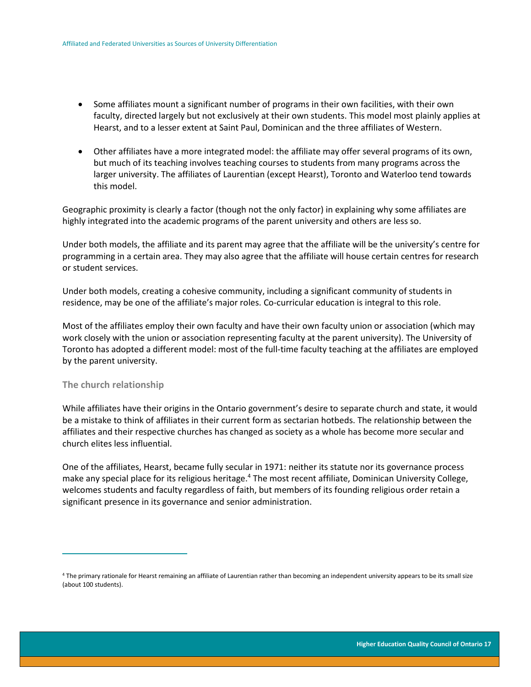- Some affiliates mount a significant number of programs in their own facilities, with their own faculty, directed largely but not exclusively at their own students. This model most plainly applies at Hearst, and to a lesser extent at Saint Paul, Dominican and the three affiliates of Western.
- Other affiliates have a more integrated model: the affiliate may offer several programs of its own, but much of its teaching involves teaching courses to students from many programs across the larger university. The affiliates of Laurentian (except Hearst), Toronto and Waterloo tend towards this model.

Geographic proximity is clearly a factor (though not the only factor) in explaining why some affiliates are highly integrated into the academic programs of the parent university and others are less so.

Under both models, the affiliate and its parent may agree that the affiliate will be the university's centre for programming in a certain area. They may also agree that the affiliate will house certain centres for research or student services.

Under both models, creating a cohesive community, including a significant community of students in residence, may be one of the affiliate's major roles. Co-curricular education is integral to this role.

Most of the affiliates employ their own faculty and have their own faculty union or association (which may work closely with the union or association representing faculty at the parent university). The University of Toronto has adopted a different model: most of the full-time faculty teaching at the affiliates are employed by the parent university.

### <span id="page-17-0"></span>**The church relationship**

 $\overline{a}$ 

While affiliates have their origins in the Ontario government's desire to separate church and state, it would be a mistake to think of affiliates in their current form as sectarian hotbeds. The relationship between the affiliates and their respective churches has changed as society as a whole has become more secular and church elites less influential.

One of the affiliates, Hearst, became fully secular in 1971: neither its statute nor its governance process make any special place for its religious heritage.<sup>4</sup> The most recent affiliate, Dominican University College, welcomes students and faculty regardless of faith, but members of its founding religious order retain a significant presence in its governance and senior administration.

<sup>4</sup> The primary rationale for Hearst remaining an affiliate of Laurentian rather than becoming an independent university appears to be its small size (about 100 students).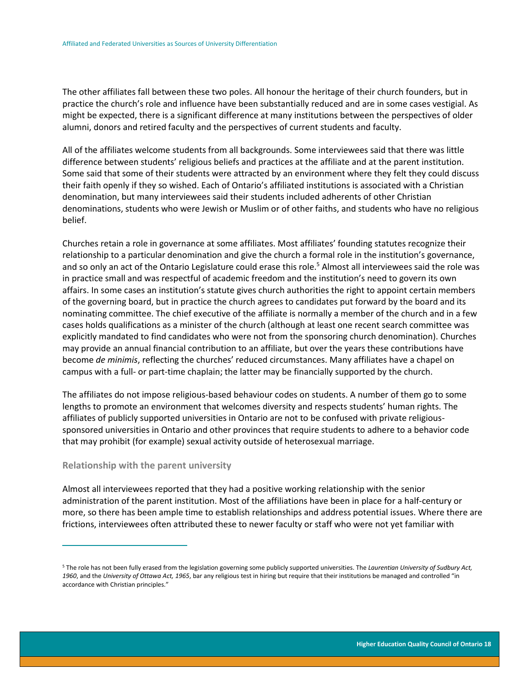The other affiliates fall between these two poles. All honour the heritage of their church founders, but in practice the church's role and influence have been substantially reduced and are in some cases vestigial. As might be expected, there is a significant difference at many institutions between the perspectives of older alumni, donors and retired faculty and the perspectives of current students and faculty.

All of the affiliates welcome students from all backgrounds. Some interviewees said that there was little difference between students' religious beliefs and practices at the affiliate and at the parent institution. Some said that some of their students were attracted by an environment where they felt they could discuss their faith openly if they so wished. Each of Ontario's affiliated institutions is associated with a Christian denomination, but many interviewees said their students included adherents of other Christian denominations, students who were Jewish or Muslim or of other faiths, and students who have no religious belief.

Churches retain a role in governance at some affiliates. Most affiliates' founding statutes recognize their relationship to a particular denomination and give the church a formal role in the institution's governance, and so only an act of the Ontario Legislature could erase this role.<sup>5</sup> Almost all interviewees said the role was in practice small and was respectful of academic freedom and the institution's need to govern its own affairs. In some cases an institution's statute gives church authorities the right to appoint certain members of the governing board, but in practice the church agrees to candidates put forward by the board and its nominating committee. The chief executive of the affiliate is normally a member of the church and in a few cases holds qualifications as a minister of the church (although at least one recent search committee was explicitly mandated to find candidates who were not from the sponsoring church denomination). Churches may provide an annual financial contribution to an affiliate, but over the years these contributions have become *de minimis*, reflecting the churches' reduced circumstances. Many affiliates have a chapel on campus with a full- or part-time chaplain; the latter may be financially supported by the church.

The affiliates do not impose religious-based behaviour codes on students. A number of them go to some lengths to promote an environment that welcomes diversity and respects students' human rights. The affiliates of publicly supported universities in Ontario are not to be confused with private religioussponsored universities in Ontario and other provinces that require students to adhere to a behavior code that may prohibit (for example) sexual activity outside of heterosexual marriage.

#### <span id="page-18-0"></span>**Relationship with the parent university**

 $\overline{a}$ 

Almost all interviewees reported that they had a positive working relationship with the senior administration of the parent institution. Most of the affiliations have been in place for a half-century or more, so there has been ample time to establish relationships and address potential issues. Where there are frictions, interviewees often attributed these to newer faculty or staff who were not yet familiar with

<sup>5</sup> The role has not been fully erased from the legislation governing some publicly supported universities. The *Laurentian University of Sudbury Act, 1960*, and the *University of Ottawa Act, 1965*, bar any religious test in hiring but require that their institutions be managed and controlled "in accordance with Christian principles."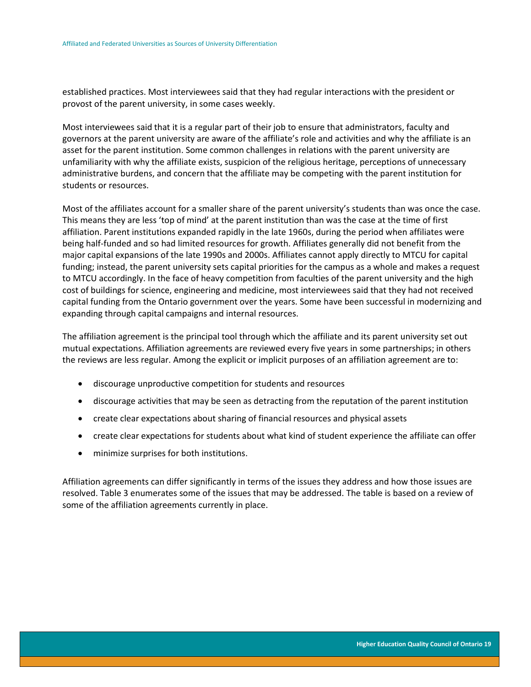established practices. Most interviewees said that they had regular interactions with the president or provost of the parent university, in some cases weekly.

Most interviewees said that it is a regular part of their job to ensure that administrators, faculty and governors at the parent university are aware of the affiliate's role and activities and why the affiliate is an asset for the parent institution. Some common challenges in relations with the parent university are unfamiliarity with why the affiliate exists, suspicion of the religious heritage, perceptions of unnecessary administrative burdens, and concern that the affiliate may be competing with the parent institution for students or resources.

Most of the affiliates account for a smaller share of the parent university's students than was once the case. This means they are less 'top of mind' at the parent institution than was the case at the time of first affiliation. Parent institutions expanded rapidly in the late 1960s, during the period when affiliates were being half-funded and so had limited resources for growth. Affiliates generally did not benefit from the major capital expansions of the late 1990s and 2000s. Affiliates cannot apply directly to MTCU for capital funding; instead, the parent university sets capital priorities for the campus as a whole and makes a request to MTCU accordingly. In the face of heavy competition from faculties of the parent university and the high cost of buildings for science, engineering and medicine, most interviewees said that they had not received capital funding from the Ontario government over the years. Some have been successful in modernizing and expanding through capital campaigns and internal resources.

The affiliation agreement is the principal tool through which the affiliate and its parent university set out mutual expectations. Affiliation agreements are reviewed every five years in some partnerships; in others the reviews are less regular. Among the explicit or implicit purposes of an affiliation agreement are to:

- discourage unproductive competition for students and resources
- discourage activities that may be seen as detracting from the reputation of the parent institution
- create clear expectations about sharing of financial resources and physical assets
- create clear expectations for students about what kind of student experience the affiliate can offer
- minimize surprises for both institutions.

Affiliation agreements can differ significantly in terms of the issues they address and how those issues are resolved. Table 3 enumerates some of the issues that may be addressed. The table is based on a review of some of the affiliation agreements currently in place.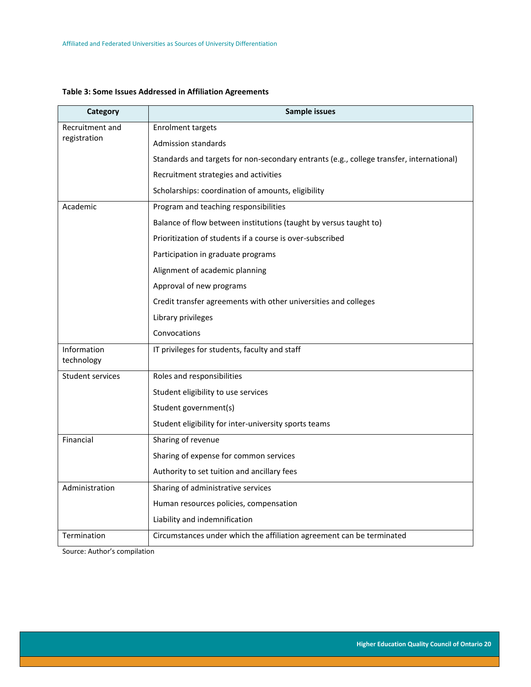### <span id="page-20-0"></span>**Table 3: Some Issues Addressed in Affiliation Agreements**

| Category                  | Sample issues                                                                            |  |  |  |  |
|---------------------------|------------------------------------------------------------------------------------------|--|--|--|--|
| Recruitment and           | <b>Enrolment targets</b>                                                                 |  |  |  |  |
| registration              | <b>Admission standards</b>                                                               |  |  |  |  |
|                           | Standards and targets for non-secondary entrants (e.g., college transfer, international) |  |  |  |  |
|                           | Recruitment strategies and activities                                                    |  |  |  |  |
|                           | Scholarships: coordination of amounts, eligibility                                       |  |  |  |  |
| Academic                  | Program and teaching responsibilities                                                    |  |  |  |  |
|                           | Balance of flow between institutions (taught by versus taught to)                        |  |  |  |  |
|                           | Prioritization of students if a course is over-subscribed                                |  |  |  |  |
|                           | Participation in graduate programs                                                       |  |  |  |  |
|                           | Alignment of academic planning                                                           |  |  |  |  |
|                           | Approval of new programs                                                                 |  |  |  |  |
|                           | Credit transfer agreements with other universities and colleges                          |  |  |  |  |
|                           | Library privileges                                                                       |  |  |  |  |
|                           | Convocations                                                                             |  |  |  |  |
| Information<br>technology | IT privileges for students, faculty and staff                                            |  |  |  |  |
| <b>Student services</b>   | Roles and responsibilities                                                               |  |  |  |  |
|                           | Student eligibility to use services                                                      |  |  |  |  |
|                           | Student government(s)                                                                    |  |  |  |  |
|                           | Student eligibility for inter-university sports teams                                    |  |  |  |  |
| Financial                 | Sharing of revenue                                                                       |  |  |  |  |
|                           | Sharing of expense for common services                                                   |  |  |  |  |
|                           | Authority to set tuition and ancillary fees                                              |  |  |  |  |
| Administration            | Sharing of administrative services                                                       |  |  |  |  |
|                           | Human resources policies, compensation                                                   |  |  |  |  |
|                           | Liability and indemnification                                                            |  |  |  |  |
| Termination               | Circumstances under which the affiliation agreement can be terminated                    |  |  |  |  |

Source: Author's compilation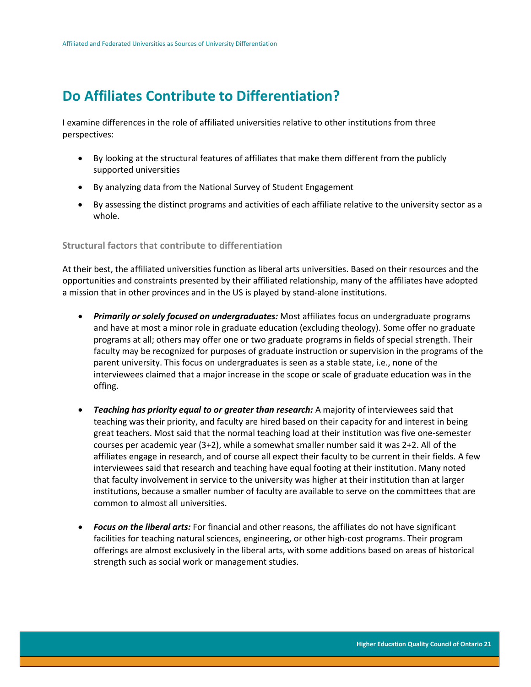# <span id="page-21-0"></span>**Do Affiliates Contribute to Differentiation?**

I examine differences in the role of affiliated universities relative to other institutions from three perspectives:

- By looking at the structural features of affiliates that make them different from the publicly supported universities
- By analyzing data from the National Survey of Student Engagement
- By assessing the distinct programs and activities of each affiliate relative to the university sector as a whole.

### <span id="page-21-1"></span>**Structural factors that contribute to differentiation**

At their best, the affiliated universities function as liberal arts universities. Based on their resources and the opportunities and constraints presented by their affiliated relationship, many of the affiliates have adopted a mission that in other provinces and in the US is played by stand-alone institutions.

- *Primarily or solely focused on undergraduates:* Most affiliates focus on undergraduate programs and have at most a minor role in graduate education (excluding theology). Some offer no graduate programs at all; others may offer one or two graduate programs in fields of special strength. Their faculty may be recognized for purposes of graduate instruction or supervision in the programs of the parent university. This focus on undergraduates is seen as a stable state, i.e., none of the interviewees claimed that a major increase in the scope or scale of graduate education was in the offing.
- *Teaching has priority equal to or greater than research:* A majority of interviewees said that teaching was their priority, and faculty are hired based on their capacity for and interest in being great teachers. Most said that the normal teaching load at their institution was five one-semester courses per academic year (3+2), while a somewhat smaller number said it was 2+2. All of the affiliates engage in research, and of course all expect their faculty to be current in their fields. A few interviewees said that research and teaching have equal footing at their institution. Many noted that faculty involvement in service to the university was higher at their institution than at larger institutions, because a smaller number of faculty are available to serve on the committees that are common to almost all universities.
- *Focus on the liberal arts:* For financial and other reasons, the affiliates do not have significant facilities for teaching natural sciences, engineering, or other high-cost programs. Their program offerings are almost exclusively in the liberal arts, with some additions based on areas of historical strength such as social work or management studies.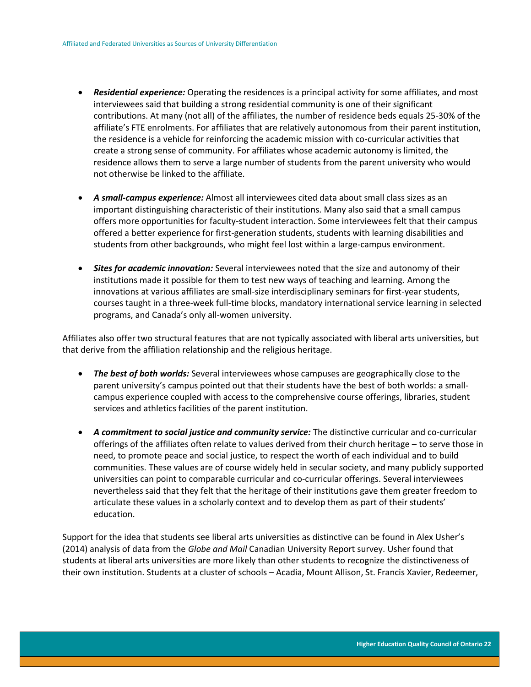- *Residential experience:* Operating the residences is a principal activity for some affiliates, and most interviewees said that building a strong residential community is one of their significant contributions. At many (not all) of the affiliates, the number of residence beds equals 25-30% of the affiliate's FTE enrolments. For affiliates that are relatively autonomous from their parent institution, the residence is a vehicle for reinforcing the academic mission with co-curricular activities that create a strong sense of community. For affiliates whose academic autonomy is limited, the residence allows them to serve a large number of students from the parent university who would not otherwise be linked to the affiliate.
- *A small-campus experience:* Almost all interviewees cited data about small class sizes as an important distinguishing characteristic of their institutions. Many also said that a small campus offers more opportunities for faculty-student interaction. Some interviewees felt that their campus offered a better experience for first-generation students, students with learning disabilities and students from other backgrounds, who might feel lost within a large-campus environment.
- *Sites for academic innovation:* Several interviewees noted that the size and autonomy of their institutions made it possible for them to test new ways of teaching and learning. Among the innovations at various affiliates are small-size interdisciplinary seminars for first-year students, courses taught in a three-week full-time blocks, mandatory international service learning in selected programs, and Canada's only all-women university.

Affiliates also offer two structural features that are not typically associated with liberal arts universities, but that derive from the affiliation relationship and the religious heritage.

- *The best of both worlds:* Several interviewees whose campuses are geographically close to the parent university's campus pointed out that their students have the best of both worlds: a smallcampus experience coupled with access to the comprehensive course offerings, libraries, student services and athletics facilities of the parent institution.
- *A commitment to social justice and community service:* The distinctive curricular and co-curricular offerings of the affiliates often relate to values derived from their church heritage – to serve those in need, to promote peace and social justice, to respect the worth of each individual and to build communities. These values are of course widely held in secular society, and many publicly supported universities can point to comparable curricular and co-curricular offerings. Several interviewees nevertheless said that they felt that the heritage of their institutions gave them greater freedom to articulate these values in a scholarly context and to develop them as part of their students' education.

Support for the idea that students see liberal arts universities as distinctive can be found in Alex Usher's (2014) analysis of data from the *Globe and Mail* Canadian University Report survey. Usher found that students at liberal arts universities are more likely than other students to recognize the distinctiveness of their own institution. Students at a cluster of schools – Acadia, Mount Allison, St. Francis Xavier, Redeemer,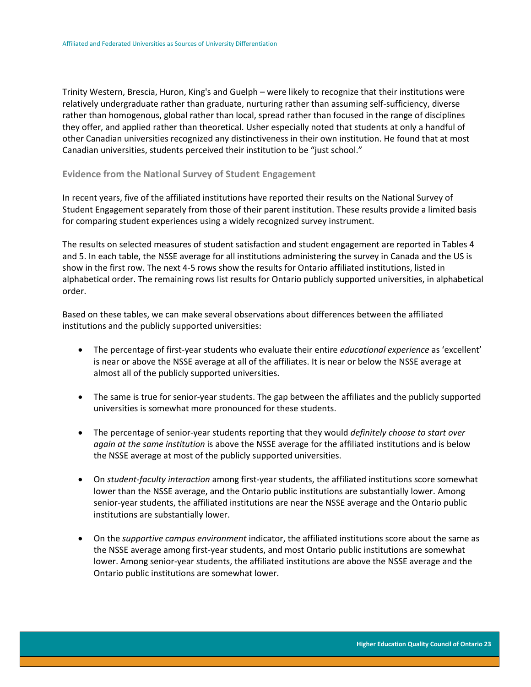Trinity Western, Brescia, Huron, King's and Guelph – were likely to recognize that their institutions were relatively undergraduate rather than graduate, nurturing rather than assuming self-sufficiency, diverse rather than homogenous, global rather than local, spread rather than focused in the range of disciplines they offer, and applied rather than theoretical. Usher especially noted that students at only a handful of other Canadian universities recognized any distinctiveness in their own institution. He found that at most Canadian universities, students perceived their institution to be "just school."

#### <span id="page-23-0"></span>**Evidence from the National Survey of Student Engagement**

In recent years, five of the affiliated institutions have reported their results on the National Survey of Student Engagement separately from those of their parent institution. These results provide a limited basis for comparing student experiences using a widely recognized survey instrument.

The results on selected measures of student satisfaction and student engagement are reported in Tables 4 and 5. In each table, the NSSE average for all institutions administering the survey in Canada and the US is show in the first row. The next 4-5 rows show the results for Ontario affiliated institutions, listed in alphabetical order. The remaining rows list results for Ontario publicly supported universities, in alphabetical order.

Based on these tables, we can make several observations about differences between the affiliated institutions and the publicly supported universities:

- The percentage of first-year students who evaluate their entire *educational experience* as 'excellent' is near or above the NSSE average at all of the affiliates. It is near or below the NSSE average at almost all of the publicly supported universities.
- The same is true for senior-year students. The gap between the affiliates and the publicly supported universities is somewhat more pronounced for these students.
- The percentage of senior-year students reporting that they would *definitely choose to start over again at the same institution* is above the NSSE average for the affiliated institutions and is below the NSSE average at most of the publicly supported universities.
- On *student-faculty interaction* among first-year students, the affiliated institutions score somewhat lower than the NSSE average, and the Ontario public institutions are substantially lower. Among senior-year students, the affiliated institutions are near the NSSE average and the Ontario public institutions are substantially lower.
- On the *supportive campus environment* indicator, the affiliated institutions score about the same as the NSSE average among first-year students, and most Ontario public institutions are somewhat lower. Among senior-year students, the affiliated institutions are above the NSSE average and the Ontario public institutions are somewhat lower.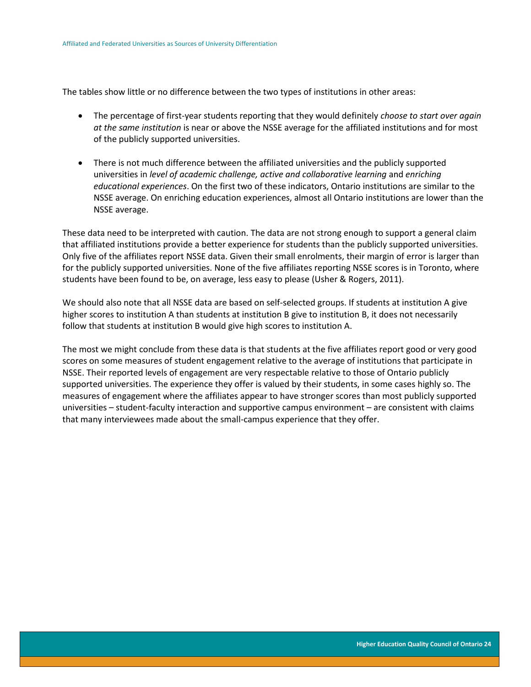The tables show little or no difference between the two types of institutions in other areas:

- The percentage of first-year students reporting that they would definitely *choose to start over again at the same institution* is near or above the NSSE average for the affiliated institutions and for most of the publicly supported universities.
- There is not much difference between the affiliated universities and the publicly supported universities in *level of academic challenge, active and collaborative learning* and *enriching educational experiences*. On the first two of these indicators, Ontario institutions are similar to the NSSE average. On enriching education experiences, almost all Ontario institutions are lower than the NSSE average.

These data need to be interpreted with caution. The data are not strong enough to support a general claim that affiliated institutions provide a better experience for students than the publicly supported universities. Only five of the affiliates report NSSE data. Given their small enrolments, their margin of error is larger than for the publicly supported universities. None of the five affiliates reporting NSSE scores is in Toronto, where students have been found to be, on average, less easy to please (Usher & Rogers, 2011).

We should also note that all NSSE data are based on self-selected groups. If students at institution A give higher scores to institution A than students at institution B give to institution B, it does not necessarily follow that students at institution B would give high scores to institution A.

The most we might conclude from these data is that students at the five affiliates report good or very good scores on some measures of student engagement relative to the average of institutions that participate in NSSE. Their reported levels of engagement are very respectable relative to those of Ontario publicly supported universities. The experience they offer is valued by their students, in some cases highly so. The measures of engagement where the affiliates appear to have stronger scores than most publicly supported universities – student-faculty interaction and supportive campus environment – are consistent with claims that many interviewees made about the small-campus experience that they offer.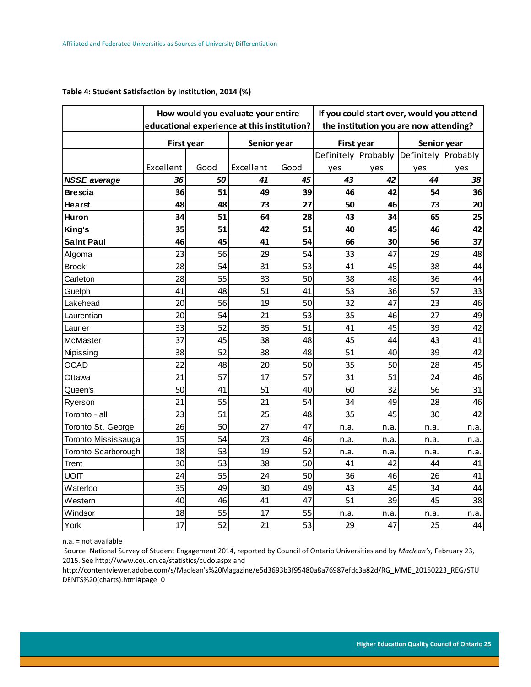|                     |                   |      | How would you evaluate your entire<br>educational experience at this institution? |      | If you could start over, would you attend<br>the institution you are now attending? |      |                        |      |
|---------------------|-------------------|------|-----------------------------------------------------------------------------------|------|-------------------------------------------------------------------------------------|------|------------------------|------|
|                     | <b>First year</b> |      | Senior year                                                                       |      |                                                                                     |      | Senior year            |      |
|                     |                   |      |                                                                                   |      | <b>First year</b><br>Definitely<br>Probably                                         |      | Definitely<br>Probably |      |
|                     | Excellent         | Good | Excellent                                                                         | Good | yes                                                                                 | yes  | yes                    | yes  |
| <b>NSSE</b> average | 36                | 50   | 41                                                                                | 45   | 43                                                                                  | 42   | 44                     | 38   |
| <b>Brescia</b>      | 36                | 51   | 49                                                                                | 39   | 46                                                                                  | 42   | 54                     | 36   |
| <b>Hearst</b>       | 48                | 48   | 73                                                                                | 27   | 50                                                                                  | 46   | 73                     | 20   |
| <b>Huron</b>        | 34                | 51   | 64                                                                                | 28   | 43                                                                                  | 34   | 65                     | 25   |
| King's              | 35                | 51   | 42                                                                                | 51   | 40                                                                                  | 45   | 46                     | 42   |
| <b>Saint Paul</b>   | 46                | 45   | 41                                                                                | 54   | 66                                                                                  | 30   | 56                     | 37   |
| Algoma              | 23                | 56   | 29                                                                                | 54   | 33                                                                                  | 47   | 29                     | 48   |
| <b>Brock</b>        | 28                | 54   | 31                                                                                | 53   | 41                                                                                  | 45   | 38                     | 44   |
| Carleton            | 28                | 55   | 33                                                                                | 50   | 38                                                                                  | 48   | 36                     | 44   |
| Guelph              | 41                | 48   | 51                                                                                | 41   | 53                                                                                  | 36   | 57                     | 33   |
| Lakehead            | 20                | 56   | 19                                                                                | 50   | 32                                                                                  | 47   | 23                     | 46   |
| Laurentian          | 20                | 54   | 21                                                                                | 53   | 35                                                                                  | 46   | 27                     | 49   |
| Laurier             | 33                | 52   | 35                                                                                | 51   | 41                                                                                  | 45   | 39                     | 42   |
| McMaster            | 37                | 45   | 38                                                                                | 48   | 45                                                                                  | 44   | 43                     | 41   |
| Nipissing           | 38                | 52   | 38                                                                                | 48   | 51                                                                                  | 40   | 39                     | 42   |
| <b>OCAD</b>         | 22                | 48   | 20                                                                                | 50   | 35                                                                                  | 50   | 28                     | 45   |
| Ottawa              | 21                | 57   | 17                                                                                | 57   | 31                                                                                  | 51   | 24                     | 46   |
| Queen's             | 50                | 41   | 51                                                                                | 40   | 60                                                                                  | 32   | 56                     | 31   |
| Ryerson             | 21                | 55   | 21                                                                                | 54   | 34                                                                                  | 49   | 28                     | 46   |
| Toronto - all       | 23                | 51   | 25                                                                                | 48   | 35                                                                                  | 45   | 30                     | 42   |
| Toronto St. George  | 26                | 50   | 27                                                                                | 47   | n.a.                                                                                | n.a. | n.a.                   | n.a. |
| Toronto Mississauga | 15                | 54   | 23                                                                                | 46   | n.a.                                                                                | n.a. | n.a.                   | n.a. |
| Toronto Scarborough | 18                | 53   | 19                                                                                | 52   | n.a.                                                                                | n.a. | n.a.                   | n.a. |
| Trent               | 30                | 53   | 38                                                                                | 50   | 41                                                                                  | 42   | 44                     | 41   |
| <b>UOIT</b>         | 24                | 55   | 24                                                                                | 50   | 36                                                                                  | 46   | 26                     | 41   |
| Waterloo            | 35                | 49   | 30                                                                                | 49   | 43                                                                                  | 45   | 34                     | 44   |
| Western             | 40                | 46   | 41                                                                                | 47   | 51                                                                                  | 39   | 45                     | 38   |
| Windsor             | 18                | 55   | 17                                                                                | 55   | n.a.                                                                                | n.a  | n.a.                   | n.a. |
| York                | 17                | 52   | 21                                                                                | 53   | 29                                                                                  | 47   | 25                     | 44   |

#### <span id="page-25-0"></span>**Table 4: Student Satisfaction by Institution, 2014 (%)**

n.a. = not available

Source: National Survey of Student Engagement 2014, reported by Council of Ontario Universities and by *Maclean's,* February 23, 2015. See http://www.cou.on.ca/statistics/cudo.aspx and

http://contentviewer.adobe.com/s/Maclean's%20Magazine/e5d3693b3f95480a8a76987efdc3a82d/RG\_MME\_20150223\_REG/STU DENTS%20(charts).html#page\_0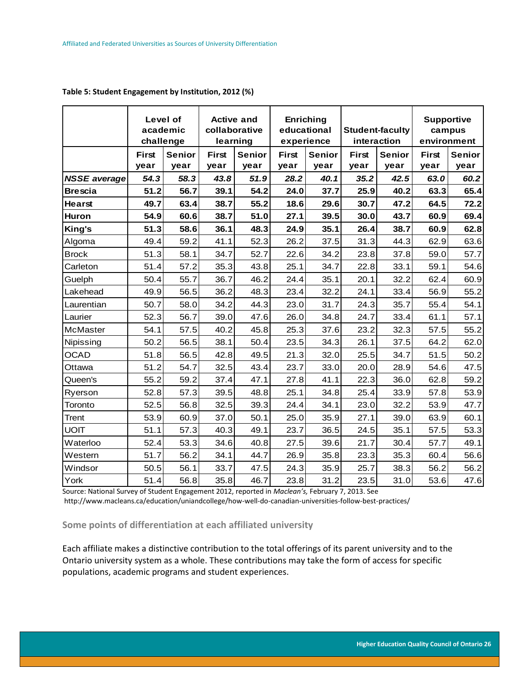|                     | Level of<br>academic<br>challenge |                       | <b>Active and</b><br>collaborative<br>learning |                       | Enriching<br>educational<br>experience |                       | <b>Student-faculty</b><br>interaction |                       | <b>Supportive</b><br>campus<br>environment |                       |
|---------------------|-----------------------------------|-----------------------|------------------------------------------------|-----------------------|----------------------------------------|-----------------------|---------------------------------------|-----------------------|--------------------------------------------|-----------------------|
|                     | <b>First</b><br>year              | <b>Senior</b><br>year | <b>First</b><br>year                           | <b>Senior</b><br>year | <b>First</b><br>year                   | <b>Senior</b><br>year | <b>First</b><br>year                  | <b>Senior</b><br>year | <b>First</b><br>year                       | <b>Senior</b><br>year |
| <b>NSSE</b> average | 54.3                              | 58.3                  | 43.8                                           | 51.9                  | 28.2                                   | 40.1                  | 35.2                                  | 42.5                  | 63.0                                       | 60.2                  |
| <b>Brescia</b>      | 51.2                              | 56.7                  | 39.1                                           | 54.2                  | 24.0                                   | 37.7                  | 25.9                                  | 40.2                  | 63.3                                       | 65.4                  |
| <b>Hearst</b>       | 49.7                              | 63.4                  | 38.7                                           | 55.2                  | 18.6                                   | 29.6                  | 30.7                                  | 47.2                  | 64.5                                       | 72.2                  |
| Huron               | 54.9                              | 60.6                  | 38.7                                           | 51.0                  | 27.1                                   | 39.5                  | 30.0                                  | 43.7                  | 60.9                                       | 69.4                  |
| King's              | 51.3                              | 58.6                  | 36.1                                           | 48.3                  | 24.9                                   | 35.1                  | 26.4                                  | 38.7                  | 60.9                                       | 62.8                  |
| Algoma              | 49.4                              | 59.2                  | 41.1                                           | 52.3                  | 26.2                                   | 37.5                  | 31.3                                  | 44.3                  | 62.9                                       | 63.6                  |
| <b>Brock</b>        | 51.3                              | 58.1                  | 34.7                                           | 52.7                  | 22.6                                   | 34.2                  | 23.8                                  | 37.8                  | 59.0                                       | 57.7                  |
| Carleton            | 51.4                              | 57.2                  | 35.3                                           | 43.8                  | 25.1                                   | 34.7                  | 22.8                                  | 33.1                  | 59.1                                       | 54.6                  |
| Guelph              | 50.4                              | 55.7                  | 36.7                                           | 46.2                  | 24.4                                   | 35.1                  | 20.1                                  | 32.2                  | 62.4                                       | 60.9                  |
| Lakehead            | 49.9                              | 56.5                  | 36.2                                           | 48.3                  | 23.4                                   | 32.2                  | 24.1                                  | 33.4                  | 56.9                                       | 55.2                  |
| Laurentian          | 50.7                              | 58.0                  | 34.2                                           | 44.3                  | 23.0                                   | 31.7                  | 24.3                                  | 35.7                  | 55.4                                       | 54.1                  |
| Laurier             | 52.3                              | 56.7                  | 39.0                                           | 47.6                  | 26.0                                   | 34.8                  | 24.7                                  | 33.4                  | 61.1                                       | 57.1                  |
| McMaster            | 54.1                              | 57.5                  | 40.2                                           | 45.8                  | 25.3                                   | 37.6                  | 23.2                                  | 32.3                  | 57.5                                       | 55.2                  |
| Nipissing           | 50.2                              | 56.5                  | 38.1                                           | 50.4                  | 23.5                                   | 34.3                  | 26.1                                  | 37.5                  | 64.2                                       | 62.0                  |
| <b>OCAD</b>         | 51.8                              | 56.5                  | 42.8                                           | 49.5                  | 21.3                                   | 32.0                  | 25.5                                  | 34.7                  | 51.5                                       | 50.2                  |
| Ottawa              | 51.2                              | 54.7                  | 32.5                                           | 43.4                  | 23.7                                   | 33.0                  | 20.0                                  | 28.9                  | 54.6                                       | 47.5                  |
| Queen's             | 55.2                              | 59.2                  | 37.4                                           | 47.1                  | 27.8                                   | 41.1                  | 22.3                                  | 36.0                  | 62.8                                       | 59.2                  |
| Ryerson             | 52.8                              | 57.3                  | 39.5                                           | 48.8                  | 25.1                                   | 34.8                  | 25.4                                  | 33.9                  | 57.8                                       | 53.9                  |
| Toronto             | 52.5                              | 56.8                  | 32.5                                           | 39.3                  | 24.4                                   | 34.1                  | 23.0                                  | 32.2                  | 53.9                                       | 47.7                  |
| Trent               | 53.9                              | 60.9                  | 37.0                                           | 50.1                  | 25.0                                   | 35.9                  | 27.1                                  | 39.0                  | 63.9                                       | 60.1                  |
| <b>UOIT</b>         | 51.1                              | 57.3                  | 40.3                                           | 49.1                  | 23.7                                   | 36.5                  | 24.5                                  | 35.1                  | 57.5                                       | 53.3                  |
| Waterloo            | 52.4                              | 53.3                  | 34.6                                           | 40.8                  | 27.5                                   | 39.6                  | 21.7                                  | 30.4                  | 57.7                                       | 49.1                  |
| Western             | 51.7                              | 56.2                  | 34.1                                           | 44.7                  | 26.9                                   | 35.8                  | 23.3                                  | 35.3                  | 60.4                                       | 56.6                  |
| Windsor             | 50.5                              | 56.1                  | 33.7                                           | 47.5                  | 24.3                                   | 35.9                  | 25.7                                  | 38.3                  | 56.2                                       | 56.2                  |
| York                | 51.4                              | 56.8                  | 35.8                                           | 46.7                  | 23.8                                   | 31.2                  | 23.5                                  | 31.0                  | 53.6                                       | 47.6                  |

#### <span id="page-26-1"></span>**Table 5: Student Engagement by Institution, 2012 (%)**

Source: National Survey of Student Engagement 2012, reported in *Maclean's,* February 7, 2013. See http://www.macleans.ca/education/uniandcollege/how-well-do-canadian-universities-follow-best-practices/

### <span id="page-26-0"></span>**Some points of differentiation at each affiliated university**

Each affiliate makes a distinctive contribution to the total offerings of its parent university and to the Ontario university system as a whole. These contributions may take the form of access for specific populations, academic programs and student experiences.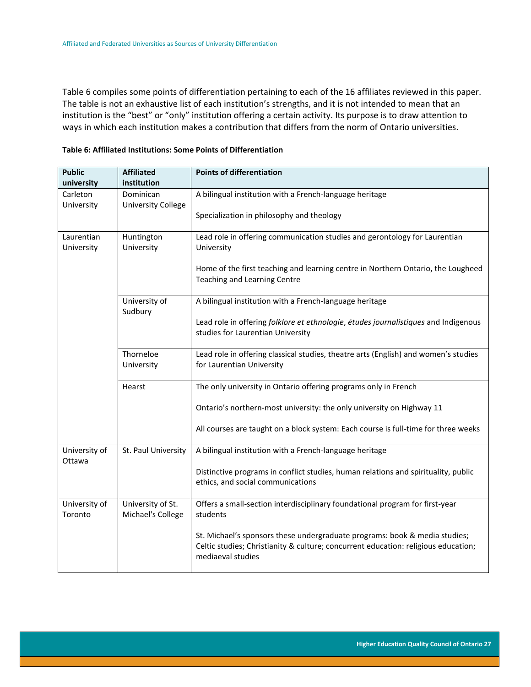Table 6 compiles some points of differentiation pertaining to each of the 16 affiliates reviewed in this paper. The table is not an exhaustive list of each institution's strengths, and it is not intended to mean that an institution is the "best" or "only" institution offering a certain activity. Its purpose is to draw attention to ways in which each institution makes a contribution that differs from the norm of Ontario universities.

| <b>Public</b>            | <b>Affiliated</b>                      | <b>Points of differentiation</b>                                                                                                                                                      |  |  |  |  |
|--------------------------|----------------------------------------|---------------------------------------------------------------------------------------------------------------------------------------------------------------------------------------|--|--|--|--|
| university               | institution                            |                                                                                                                                                                                       |  |  |  |  |
| Carleton                 | Dominican                              | A bilingual institution with a French-language heritage                                                                                                                               |  |  |  |  |
| University               | <b>University College</b>              | Specialization in philosophy and theology                                                                                                                                             |  |  |  |  |
| Laurentian<br>University | Huntington<br>University               | Lead role in offering communication studies and gerontology for Laurentian<br>University                                                                                              |  |  |  |  |
|                          |                                        | Home of the first teaching and learning centre in Northern Ontario, the Lougheed<br>Teaching and Learning Centre                                                                      |  |  |  |  |
|                          | University of<br>Sudbury               | A bilingual institution with a French-language heritage                                                                                                                               |  |  |  |  |
|                          |                                        | Lead role in offering folklore et ethnologie, études journalistiques and Indigenous<br>studies for Laurentian University                                                              |  |  |  |  |
|                          | Thorneloe<br>University                | Lead role in offering classical studies, theatre arts (English) and women's studies<br>for Laurentian University                                                                      |  |  |  |  |
|                          | Hearst                                 | The only university in Ontario offering programs only in French                                                                                                                       |  |  |  |  |
|                          |                                        | Ontario's northern-most university: the only university on Highway 11                                                                                                                 |  |  |  |  |
|                          |                                        | All courses are taught on a block system: Each course is full-time for three weeks                                                                                                    |  |  |  |  |
| University of<br>Ottawa  | St. Paul University                    | A bilingual institution with a French-language heritage                                                                                                                               |  |  |  |  |
|                          |                                        | Distinctive programs in conflict studies, human relations and spirituality, public<br>ethics, and social communications                                                               |  |  |  |  |
| University of<br>Toronto | University of St.<br>Michael's College | Offers a small-section interdisciplinary foundational program for first-year<br>students                                                                                              |  |  |  |  |
|                          |                                        | St. Michael's sponsors these undergraduate programs: book & media studies;<br>Celtic studies; Christianity & culture; concurrent education: religious education;<br>mediaeval studies |  |  |  |  |

### <span id="page-27-0"></span>**Table 6: Affiliated Institutions: Some Points of Differentiation**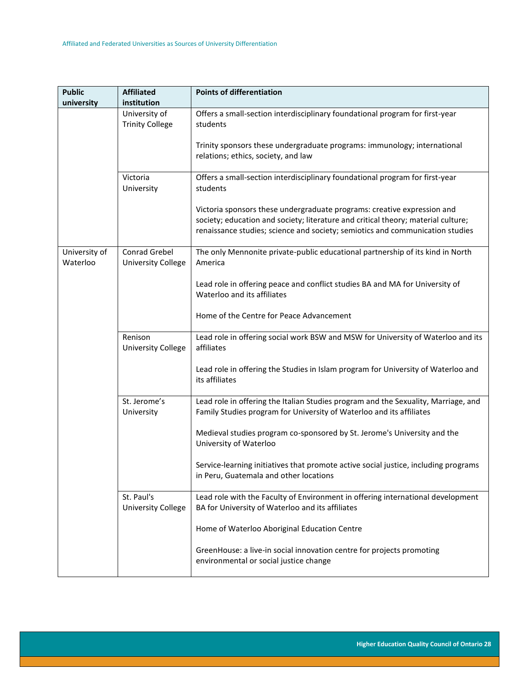| <b>Public</b><br>university | <b>Affiliated</b><br>institution           | <b>Points of differentiation</b>                                                                                                                                                                                                              |
|-----------------------------|--------------------------------------------|-----------------------------------------------------------------------------------------------------------------------------------------------------------------------------------------------------------------------------------------------|
|                             | University of                              | Offers a small-section interdisciplinary foundational program for first-year                                                                                                                                                                  |
|                             | <b>Trinity College</b>                     | students                                                                                                                                                                                                                                      |
|                             |                                            | Trinity sponsors these undergraduate programs: immunology; international<br>relations; ethics, society, and law                                                                                                                               |
|                             | Victoria<br>University                     | Offers a small-section interdisciplinary foundational program for first-year<br>students                                                                                                                                                      |
|                             |                                            | Victoria sponsors these undergraduate programs: creative expression and<br>society; education and society; literature and critical theory; material culture;<br>renaissance studies; science and society; semiotics and communication studies |
| University of<br>Waterloo   | Conrad Grebel<br><b>University College</b> | The only Mennonite private-public educational partnership of its kind in North<br>America                                                                                                                                                     |
|                             |                                            | Lead role in offering peace and conflict studies BA and MA for University of<br>Waterloo and its affiliates                                                                                                                                   |
|                             |                                            | Home of the Centre for Peace Advancement                                                                                                                                                                                                      |
|                             | Renison<br><b>University College</b>       | Lead role in offering social work BSW and MSW for University of Waterloo and its<br>affiliates                                                                                                                                                |
|                             |                                            | Lead role in offering the Studies in Islam program for University of Waterloo and<br>its affiliates                                                                                                                                           |
|                             | St. Jerome's<br>University                 | Lead role in offering the Italian Studies program and the Sexuality, Marriage, and<br>Family Studies program for University of Waterloo and its affiliates                                                                                    |
|                             |                                            | Medieval studies program co-sponsored by St. Jerome's University and the<br>University of Waterloo                                                                                                                                            |
|                             |                                            | Service-learning initiatives that promote active social justice, including programs<br>in Peru, Guatemala and other locations                                                                                                                 |
|                             | St. Paul's<br><b>University College</b>    | Lead role with the Faculty of Environment in offering international development<br>BA for University of Waterloo and its affiliates                                                                                                           |
|                             |                                            | Home of Waterloo Aboriginal Education Centre                                                                                                                                                                                                  |
|                             |                                            | GreenHouse: a live-in social innovation centre for projects promoting<br>environmental or social justice change                                                                                                                               |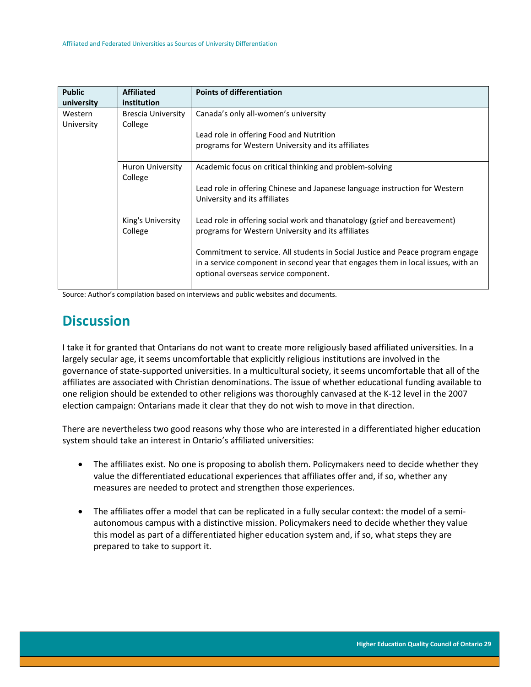| <b>Public</b> | <b>Affiliated</b>            | <b>Points of differentiation</b>                                                                                                                                                                           |
|---------------|------------------------------|------------------------------------------------------------------------------------------------------------------------------------------------------------------------------------------------------------|
| university    | institution                  |                                                                                                                                                                                                            |
| Western       | <b>Brescia University</b>    | Canada's only all-women's university                                                                                                                                                                       |
| University    | College                      |                                                                                                                                                                                                            |
|               |                              | Lead role in offering Food and Nutrition                                                                                                                                                                   |
|               |                              | programs for Western University and its affiliates                                                                                                                                                         |
|               | Huron University<br>College  | Academic focus on critical thinking and problem-solving                                                                                                                                                    |
|               |                              | Lead role in offering Chinese and Japanese language instruction for Western<br>University and its affiliates                                                                                               |
|               | King's University<br>College | Lead role in offering social work and thanatology (grief and bereavement)<br>programs for Western University and its affiliates                                                                            |
|               |                              | Commitment to service. All students in Social Justice and Peace program engage<br>in a service component in second year that engages them in local issues, with an<br>optional overseas service component. |

Source: Author's compilation based on interviews and public websites and documents.

# <span id="page-29-0"></span>**Discussion**

I take it for granted that Ontarians do not want to create more religiously based affiliated universities. In a largely secular age, it seems uncomfortable that explicitly religious institutions are involved in the governance of state-supported universities. In a multicultural society, it seems uncomfortable that all of the affiliates are associated with Christian denominations. The issue of whether educational funding available to one religion should be extended to other religions was thoroughly canvased at the K-12 level in the 2007 election campaign: Ontarians made it clear that they do not wish to move in that direction.

There are nevertheless two good reasons why those who are interested in a differentiated higher education system should take an interest in Ontario's affiliated universities:

- The affiliates exist. No one is proposing to abolish them. Policymakers need to decide whether they value the differentiated educational experiences that affiliates offer and, if so, whether any measures are needed to protect and strengthen those experiences.
- The affiliates offer a model that can be replicated in a fully secular context: the model of a semiautonomous campus with a distinctive mission. Policymakers need to decide whether they value this model as part of a differentiated higher education system and, if so, what steps they are prepared to take to support it.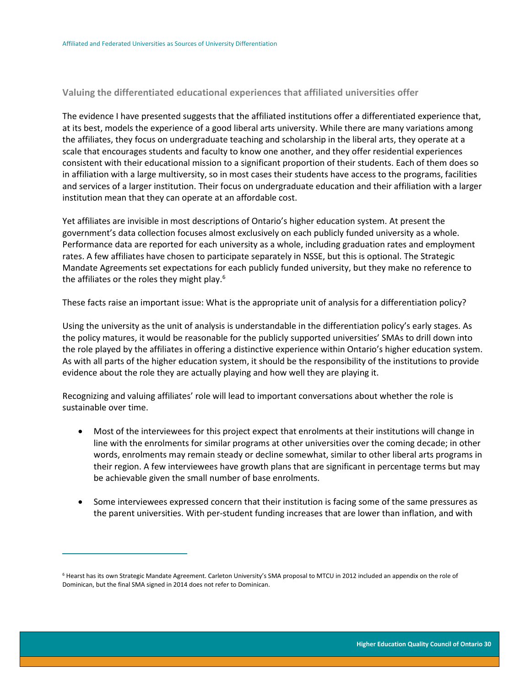### <span id="page-30-0"></span>**Valuing the differentiated educational experiences that affiliated universities offer**

The evidence I have presented suggests that the affiliated institutions offer a differentiated experience that, at its best, models the experience of a good liberal arts university. While there are many variations among the affiliates, they focus on undergraduate teaching and scholarship in the liberal arts, they operate at a scale that encourages students and faculty to know one another, and they offer residential experiences consistent with their educational mission to a significant proportion of their students. Each of them does so in affiliation with a large multiversity, so in most cases their students have access to the programs, facilities and services of a larger institution. Their focus on undergraduate education and their affiliation with a larger institution mean that they can operate at an affordable cost.

Yet affiliates are invisible in most descriptions of Ontario's higher education system. At present the government's data collection focuses almost exclusively on each publicly funded university as a whole. Performance data are reported for each university as a whole, including graduation rates and employment rates. A few affiliates have chosen to participate separately in NSSE, but this is optional. The Strategic Mandate Agreements set expectations for each publicly funded university, but they make no reference to the affiliates or the roles they might play. $6$ 

These facts raise an important issue: What is the appropriate unit of analysis for a differentiation policy?

Using the university as the unit of analysis is understandable in the differentiation policy's early stages. As the policy matures, it would be reasonable for the publicly supported universities' SMAs to drill down into the role played by the affiliates in offering a distinctive experience within Ontario's higher education system. As with all parts of the higher education system, it should be the responsibility of the institutions to provide evidence about the role they are actually playing and how well they are playing it.

Recognizing and valuing affiliates' role will lead to important conversations about whether the role is sustainable over time.

- Most of the interviewees for this project expect that enrolments at their institutions will change in line with the enrolments for similar programs at other universities over the coming decade; in other words, enrolments may remain steady or decline somewhat, similar to other liberal arts programs in their region. A few interviewees have growth plans that are significant in percentage terms but may be achievable given the small number of base enrolments.
- Some interviewees expressed concern that their institution is facing some of the same pressures as the parent universities. With per-student funding increases that are lower than inflation, and with

 $\overline{a}$ 

<sup>&</sup>lt;sup>6</sup> Hearst has its own Strategic Mandate Agreement. Carleton University's SMA proposal to MTCU in 2012 included an appendix on the role of Dominican, but the final SMA signed in 2014 does not refer to Dominican.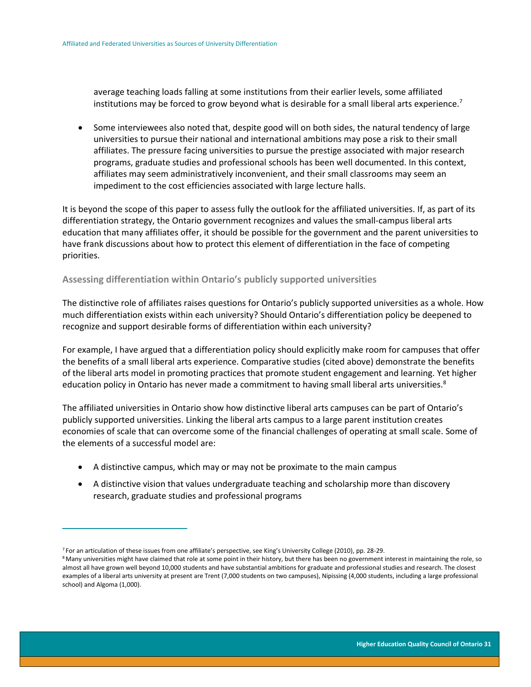average teaching loads falling at some institutions from their earlier levels, some affiliated institutions may be forced to grow beyond what is desirable for a small liberal arts experience.<sup>7</sup>

• Some interviewees also noted that, despite good will on both sides, the natural tendency of large universities to pursue their national and international ambitions may pose a risk to their small affiliates. The pressure facing universities to pursue the prestige associated with major research programs, graduate studies and professional schools has been well documented. In this context, affiliates may seem administratively inconvenient, and their small classrooms may seem an impediment to the cost efficiencies associated with large lecture halls.

It is beyond the scope of this paper to assess fully the outlook for the affiliated universities. If, as part of its differentiation strategy, the Ontario government recognizes and values the small-campus liberal arts education that many affiliates offer, it should be possible for the government and the parent universities to have frank discussions about how to protect this element of differentiation in the face of competing priorities.

#### <span id="page-31-0"></span>**Assessing differentiation within Ontario's publicly supported universities**

The distinctive role of affiliates raises questions for Ontario's publicly supported universities as a whole. How much differentiation exists within each university? Should Ontario's differentiation policy be deepened to recognize and support desirable forms of differentiation within each university?

For example, I have argued that a differentiation policy should explicitly make room for campuses that offer the benefits of a small liberal arts experience. Comparative studies (cited above) demonstrate the benefits of the liberal arts model in promoting practices that promote student engagement and learning. Yet higher education policy in Ontario has never made a commitment to having small liberal arts universities.<sup>8</sup>

The affiliated universities in Ontario show how distinctive liberal arts campuses can be part of Ontario's publicly supported universities. Linking the liberal arts campus to a large parent institution creates economies of scale that can overcome some of the financial challenges of operating at small scale. Some of the elements of a successful model are:

- A distinctive campus, which may or may not be proximate to the main campus
- A distinctive vision that values undergraduate teaching and scholarship more than discovery research, graduate studies and professional programs

 $\overline{a}$ 

<sup>7</sup> For an articulation of these issues from one affiliate's perspective, see King's University College (2010), pp. 28-29.

<sup>&</sup>lt;sup>8</sup> Many universities might have claimed that role at some point in their history, but there has been no government interest in maintaining the role, so almost all have grown well beyond 10,000 students and have substantial ambitions for graduate and professional studies and research. The closest examples of a liberal arts university at present are Trent (7,000 students on two campuses), Nipissing (4,000 students, including a large professional school) and Algoma (1,000).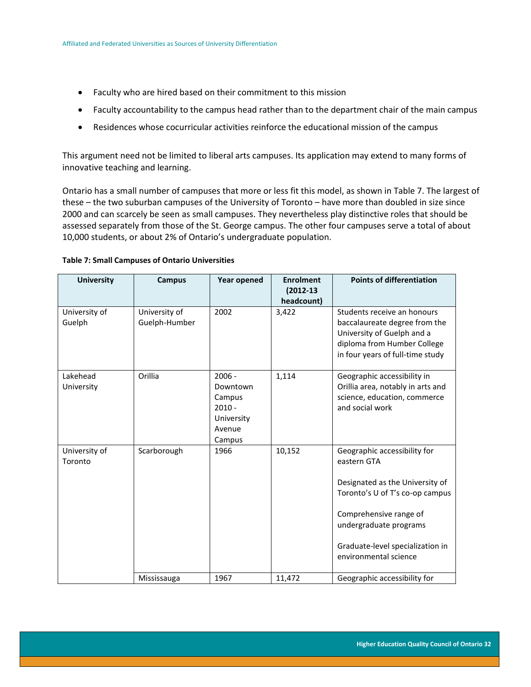- Faculty who are hired based on their commitment to this mission
- Faculty accountability to the campus head rather than to the department chair of the main campus
- Residences whose cocurricular activities reinforce the educational mission of the campus

This argument need not be limited to liberal arts campuses. Its application may extend to many forms of innovative teaching and learning.

Ontario has a small number of campuses that more or less fit this model, as shown in Table 7. The largest of these – the two suburban campuses of the University of Toronto – have more than doubled in size since 2000 and can scarcely be seen as small campuses. They nevertheless play distinctive roles that should be assessed separately from those of the St. George campus. The other four campuses serve a total of about 10,000 students, or about 2% of Ontario's undergraduate population.

| <b>University</b>        | <b>Campus</b>                  | <b>Year opened</b>                                                           | <b>Enrolment</b><br>$(2012 - 13)$<br>headcount) | <b>Points of differentiation</b>                                                                                                                                                                                                   |
|--------------------------|--------------------------------|------------------------------------------------------------------------------|-------------------------------------------------|------------------------------------------------------------------------------------------------------------------------------------------------------------------------------------------------------------------------------------|
| University of<br>Guelph  | University of<br>Guelph-Humber | 2002                                                                         | 3,422                                           | Students receive an honours<br>baccalaureate degree from the<br>University of Guelph and a<br>diploma from Humber College<br>in four years of full-time study                                                                      |
| Lakehead<br>University   | Orillia                        | $2006 -$<br>Downtown<br>Campus<br>$2010 -$<br>University<br>Avenue<br>Campus | 1,114                                           | Geographic accessibility in<br>Orillia area, notably in arts and<br>science, education, commerce<br>and social work                                                                                                                |
| University of<br>Toronto | Scarborough                    | 1966                                                                         | 10,152                                          | Geographic accessibility for<br>eastern GTA<br>Designated as the University of<br>Toronto's U of T's co-op campus<br>Comprehensive range of<br>undergraduate programs<br>Graduate-level specialization in<br>environmental science |
|                          | Mississauga                    | 1967                                                                         | 11,472                                          | Geographic accessibility for                                                                                                                                                                                                       |

#### <span id="page-32-0"></span>**Table 7: Small Campuses of Ontario Universities**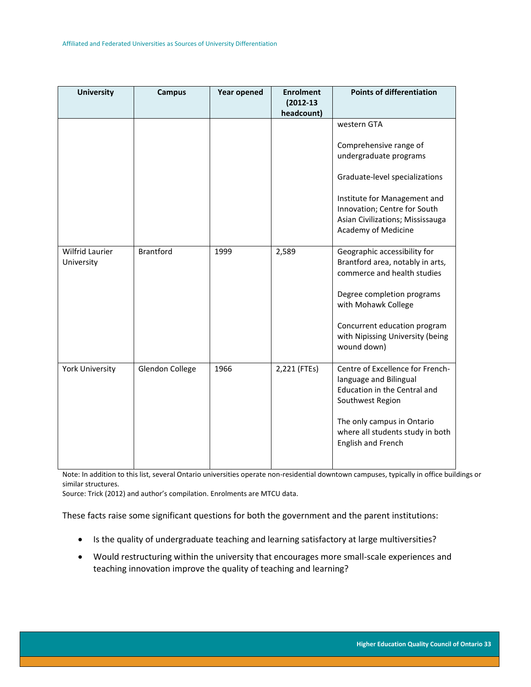| <b>University</b>             | <b>Campus</b>    | <b>Year opened</b> | <b>Enrolment</b><br>$(2012 - 13)$ | <b>Points of differentiation</b>                                 |
|-------------------------------|------------------|--------------------|-----------------------------------|------------------------------------------------------------------|
|                               |                  |                    | headcount)                        |                                                                  |
|                               |                  |                    |                                   | western GTA                                                      |
|                               |                  |                    |                                   | Comprehensive range of                                           |
|                               |                  |                    |                                   | undergraduate programs                                           |
|                               |                  |                    |                                   | Graduate-level specializations                                   |
|                               |                  |                    |                                   | Institute for Management and                                     |
|                               |                  |                    |                                   | Innovation; Centre for South                                     |
|                               |                  |                    |                                   | Asian Civilizations; Mississauga<br>Academy of Medicine          |
| Wilfrid Laurier<br>University | <b>Brantford</b> | 1999               | 2,589                             | Geographic accessibility for<br>Brantford area, notably in arts, |
|                               |                  |                    |                                   | commerce and health studies                                      |
|                               |                  |                    |                                   | Degree completion programs<br>with Mohawk College                |
|                               |                  |                    |                                   | Concurrent education program<br>with Nipissing University (being |
|                               |                  |                    |                                   | wound down)                                                      |
| <b>York University</b>        | Glendon College  | 1966               | 2,221 (FTEs)                      | Centre of Excellence for French-<br>language and Bilingual       |
|                               |                  |                    |                                   | Education in the Central and<br>Southwest Region                 |
|                               |                  |                    |                                   | The only campus in Ontario<br>where all students study in both   |
|                               |                  |                    |                                   | English and French                                               |

Note: In addition to this list, several Ontario universities operate non-residential downtown campuses, typically in office buildings or similar structures.

Source: Trick (2012) and author's compilation. Enrolments are MTCU data.

These facts raise some significant questions for both the government and the parent institutions:

- Is the quality of undergraduate teaching and learning satisfactory at large multiversities?
- Would restructuring within the university that encourages more small-scale experiences and teaching innovation improve the quality of teaching and learning?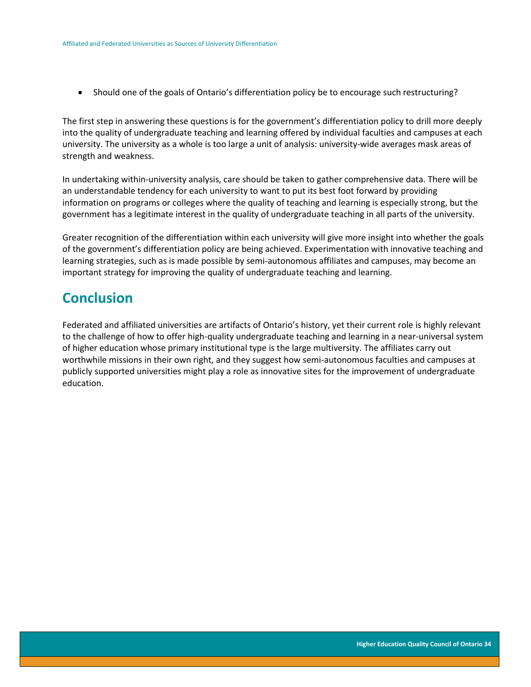Should one of the goals of Ontario's differentiation policy be to encourage such restructuring?

The first step in answering these questions is for the government's differentiation policy to drill more deeply into the quality of undergraduate teaching and learning offered by individual faculties and campuses at each university. The university as a whole is too large a unit of analysis: university-wide averages mask areas of strength and weakness.

In undertaking within-university analysis, care should be taken to gather comprehensive data. There will be an understandable tendency for each university to want to put its best foot forward by providing information on programs or colleges where the quality of teaching and learning is especially strong, but the government has a legitimate interest in the quality of undergraduate teaching in all parts of the university.

Greater recognition of the differentiation within each university will give more insight into whether the goals of the government's differentiation policy are being achieved. Experimentation with innovative teaching and learning strategies, such as is made possible by semi-autonomous affiliates and campuses, may become an important strategy for improving the quality of undergraduate teaching and learning.

### <span id="page-34-0"></span>**Conclusion**

Federated and affiliated universities are artifacts of Ontario's history, yet their current role is highly relevant to the challenge of how to offer high-quality undergraduate teaching and learning in a near-universal system of higher education whose primary institutional type is the large multiversity. The affiliates carry out worthwhile missions in their own right, and they suggest how semi-autonomous faculties and campuses at publicly supported universities might play a role as innovative sites for the improvement of undergraduate education.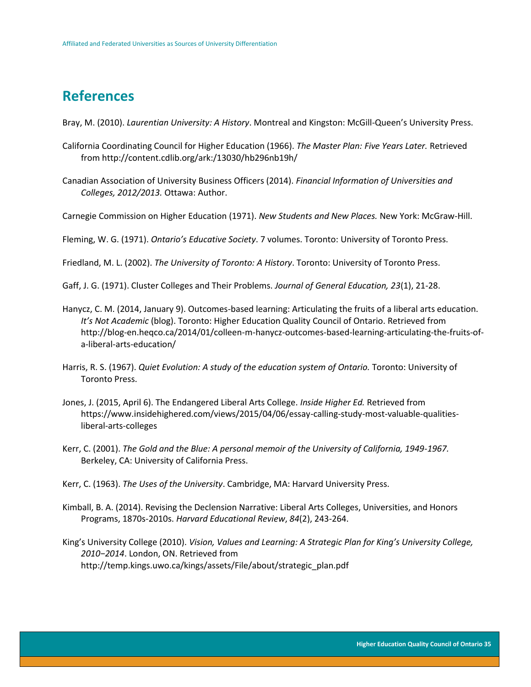## <span id="page-35-0"></span>**References**

Bray, M. (2010). *Laurentian University: A History*. Montreal and Kingston: McGill-Queen's University Press.

- California Coordinating Council for Higher Education (1966). *The Master Plan: Five Years Later.* Retrieved from http://content.cdlib.org/ark:/13030/hb296nb19h/
- Canadian Association of University Business Officers (2014). *Financial Information of Universities and Colleges, 2012/2013.* Ottawa: Author.
- Carnegie Commission on Higher Education (1971). *New Students and New Places.* New York: McGraw-Hill.

Fleming, W. G. (1971). *Ontario's Educative Society*. 7 volumes. Toronto: University of Toronto Press.

Friedland, M. L. (2002). *The University of Toronto: A History*. Toronto: University of Toronto Press.

Gaff, J. G. (1971). Cluster Colleges and Their Problems. *Journal of General Education, 23*(1), 21-28.

- Hanycz, C. M. (2014, January 9). Outcomes-based learning: Articulating the fruits of a liberal arts education. *It's Not Academic* (blog). Toronto: Higher Education Quality Council of Ontario. Retrieved from http://blog-en.heqco.ca/2014/01/colleen-m-hanycz-outcomes-based-learning-articulating-the-fruits-ofa-liberal-arts-education/
- Harris, R. S. (1967). *Quiet Evolution: A study of the education system of Ontario.* Toronto: University of Toronto Press.
- Jones, J. (2015, April 6). The Endangered Liberal Arts College. *Inside Higher Ed.* Retrieved from https://www.insidehighered.com/views/2015/04/06/essay-calling-study-most-valuable-qualitiesliberal-arts-colleges
- Kerr, C. (2001). *The Gold and the Blue: A personal memoir of the University of California, 1949-1967.* Berkeley, CA: University of California Press.
- Kerr, C. (1963). *The Uses of the University*. Cambridge, MA: Harvard University Press.
- Kimball, B. A. (2014). Revising the Declension Narrative: Liberal Arts Colleges, Universities, and Honors Programs, 1870s-2010s. *Harvard Educational Review*, *84*(2), 243-264.
- King's University College (2010). *Vision, Values and Learning: A Strategic Plan for King's University College, 2010−2014*. London, ON. Retrieved from http://temp.kings.uwo.ca/kings/assets/File/about/strategic\_plan.pdf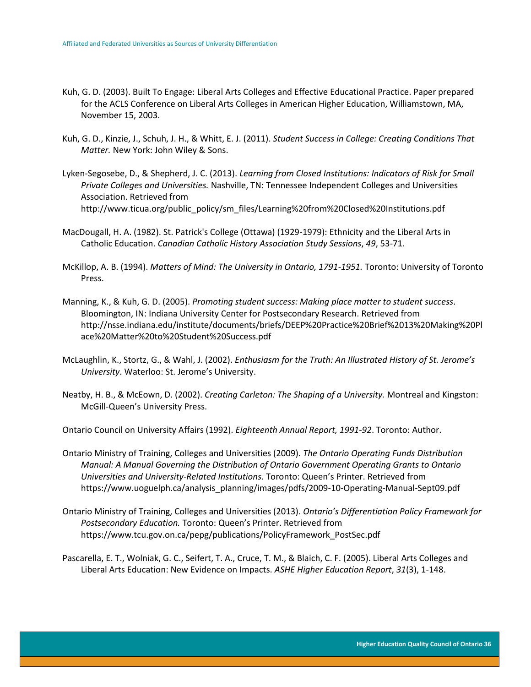- Kuh, G. D. (2003). Built To Engage: Liberal Arts Colleges and Effective Educational Practice. Paper prepared for the ACLS Conference on Liberal Arts Colleges in American Higher Education, Williamstown, MA, November 15, 2003.
- Kuh, G. D., Kinzie, J., Schuh, J. H., & Whitt, E. J. (2011). *Student Success in College: Creating Conditions That Matter.* New York: John Wiley & Sons.
- Lyken-Segosebe, D., & Shepherd, J. C. (2013). *Learning from Closed Institutions: Indicators of Risk for Small Private Colleges and Universities.* Nashville, TN: Tennessee Independent Colleges and Universities Association. Retrieved from http://www.ticua.org/public\_policy/sm\_files/Learning%20from%20Closed%20Institutions.pdf
- MacDougall, H. A. (1982). St. Patrick's College (Ottawa) (1929-1979): Ethnicity and the Liberal Arts in Catholic Education. *Canadian Catholic History Association Study Sessions*, *49*, 53-71.
- McKillop, A. B. (1994). *Matters of Mind: The University in Ontario, 1791-1951.* Toronto: University of Toronto Press.
- Manning, K., & Kuh, G. D. (2005). *Promoting student success: Making place matter to student success*. Bloomington, IN: Indiana University Center for Postsecondary Research. Retrieved from http://nsse.indiana.edu/institute/documents/briefs/DEEP%20Practice%20Brief%2013%20Making%20Pl ace%20Matter%20to%20Student%20Success.pdf
- McLaughlin, K., Stortz, G., & Wahl, J. (2002). *Enthusiasm for the Truth: An Illustrated History of St. Jerome's University*. Waterloo: St. Jerome's University.
- Neatby, H. B., & McEown, D. (2002). *Creating Carleton: The Shaping of a University.* Montreal and Kingston: McGill-Queen's University Press.

Ontario Council on University Affairs (1992). *Eighteenth Annual Report, 1991-92*. Toronto: Author.

- Ontario Ministry of Training, Colleges and Universities (2009). *The Ontario Operating Funds Distribution Manual: A Manual Governing the Distribution of Ontario Government Operating Grants to Ontario Universities and University-Related Institutions*. Toronto: Queen's Printer. Retrieved from https://www.uoguelph.ca/analysis\_planning/images/pdfs/2009-10-Operating-Manual-Sept09.pdf
- Ontario Ministry of Training, Colleges and Universities (2013). *Ontario's Differentiation Policy Framework for Postsecondary Education.* Toronto: Queen's Printer. Retrieved from https://www.tcu.gov.on.ca/pepg/publications/PolicyFramework\_PostSec.pdf
- Pascarella, E. T., Wolniak, G. C., Seifert, T. A., Cruce, T. M., & Blaich, C. F. (2005). Liberal Arts Colleges and Liberal Arts Education: New Evidence on Impacts. *ASHE Higher Education Report*, *31*(3), 1-148.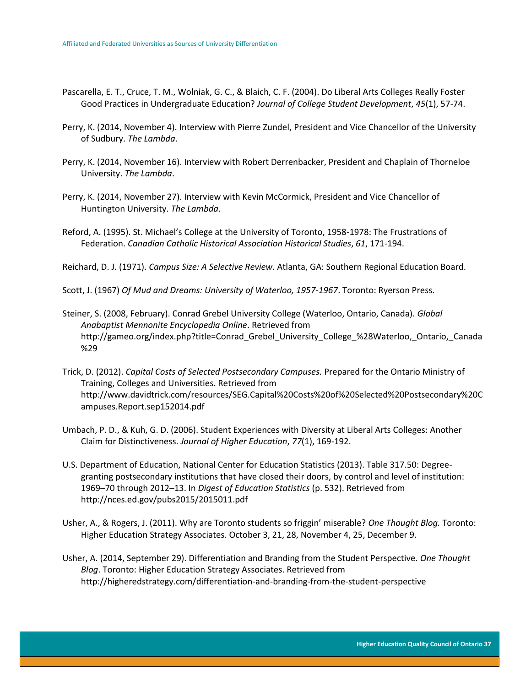- Pascarella, E. T., Cruce, T. M., Wolniak, G. C., & Blaich, C. F. (2004). Do Liberal Arts Colleges Really Foster Good Practices in Undergraduate Education? *Journal of College Student Development*, *45*(1), 57-74.
- Perry, K. (2014, November 4). Interview with Pierre Zundel, President and Vice Chancellor of the University of Sudbury. *The Lambda*.
- Perry, K. (2014, November 16). Interview with Robert Derrenbacker, President and Chaplain of Thorneloe University. *The Lambda*.
- Perry, K. (2014, November 27). Interview with Kevin McCormick, President and Vice Chancellor of Huntington University. *The Lambda*.
- Reford, A. (1995). St. Michael's College at the University of Toronto, 1958-1978: The Frustrations of Federation. *Canadian Catholic Historical Association Historical Studies*, *61*, 171-194.

Reichard, D. J. (1971). *Campus Size: A Selective Review*. Atlanta, GA: Southern Regional Education Board.

Scott, J. (1967) *Of Mud and Dreams: University of Waterloo, 1957-1967*. Toronto: Ryerson Press.

- Steiner, S. (2008, February). Conrad Grebel University College (Waterloo, Ontario, Canada). *Global Anabaptist Mennonite Encyclopedia Online*. Retrieved from http://gameo.org/index.php?title=Conrad Grebel University College %28Waterloo, Ontario, Canada %29
- Trick, D. (2012). *Capital Costs of Selected Postsecondary Campuses.* Prepared for the Ontario Ministry of Training, Colleges and Universities. Retrieved from http://www.davidtrick.com/resources/SEG.Capital%20Costs%20of%20Selected%20Postsecondary%20C ampuses.Report.sep152014.pdf
- Umbach, P. D., & Kuh, G. D. (2006). Student Experiences with Diversity at Liberal Arts Colleges: Another Claim for Distinctiveness. *Journal of Higher Education*, *77*(1), 169-192.
- U.S. Department of Education, National Center for Education Statistics (2013). Table 317.50: Degreegranting postsecondary institutions that have closed their doors, by control and level of institution: 1969–70 through 2012–13. In *Digest of Education Statistics* (p. 532). Retrieved from http://nces.ed.gov/pubs2015/2015011.pdf
- Usher, A., & Rogers, J. (2011). Why are Toronto students so friggin' miserable? *One Thought Blog.* Toronto: Higher Education Strategy Associates. October 3, 21, 28, November 4, 25, December 9.
- Usher, A. (2014, September 29). Differentiation and Branding from the Student Perspective. *One Thought Blog*. Toronto: Higher Education Strategy Associates. Retrieved from http://higheredstrategy.com/differentiation-and-branding-from-the-student-perspective